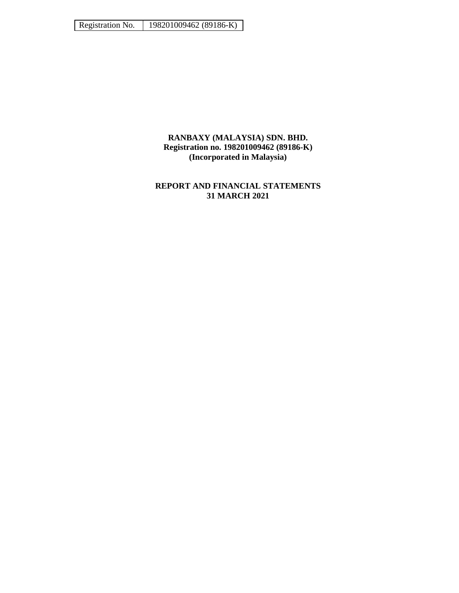**RANBAXY (MALAYSIA) SDN. BHD. Registration no. 198201009462 (89186-K) (Incorporated in Malaysia)** 

# **REPORT AND FINANCIAL STATEMENTS 31 MARCH 2021**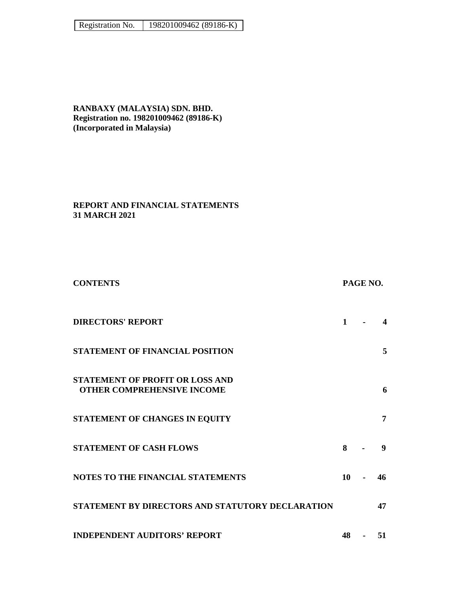| Registration No. | 198201009462 (89186-K) |
|------------------|------------------------|
|------------------|------------------------|

# **REPORT AND FINANCIAL STATEMENTS 31 MARCH 2021**

| <b>CONTENTS</b>                                                             | PAGE NO.     |  |          |  |
|-----------------------------------------------------------------------------|--------------|--|----------|--|
| <b>DIRECTORS' REPORT</b>                                                    | $\mathbf{1}$ |  | $\Delta$ |  |
| <b>STATEMENT OF FINANCIAL POSITION</b>                                      |              |  | 5        |  |
| <b>STATEMENT OF PROFIT OR LOSS AND</b><br><b>OTHER COMPREHENSIVE INCOME</b> |              |  | 6        |  |
| STATEMENT OF CHANGES IN EQUITY                                              |              |  | 7        |  |
| <b>STATEMENT OF CASH FLOWS</b>                                              | 8            |  | 9        |  |
| NOTES TO THE FINANCIAL STATEMENTS                                           | 10           |  | 46       |  |
| STATEMENT BY DIRECTORS AND STATUTORY DECLARATION                            |              |  | 47       |  |
| <b>INDEPENDENT AUDITORS' REPORT</b>                                         | 48           |  | 51       |  |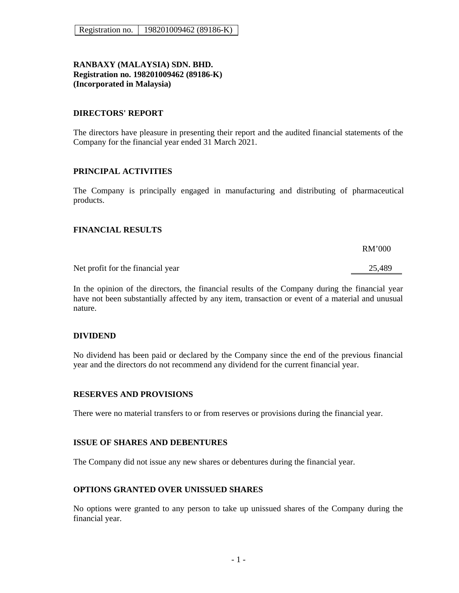# **DIRECTORS' REPORT**

The directors have pleasure in presenting their report and the audited financial statements of the Company for the financial year ended 31 March 2021.

# **PRINCIPAL ACTIVITIES**

The Company is principally engaged in manufacturing and distributing of pharmaceutical products.

## **FINANCIAL RESULTS**

|                                   | <b>RM'000</b> |
|-----------------------------------|---------------|
| Net profit for the financial year | 25,489        |

In the opinion of the directors, the financial results of the Company during the financial year have not been substantially affected by any item, transaction or event of a material and unusual nature.

## **DIVIDEND**

No dividend has been paid or declared by the Company since the end of the previous financial year and the directors do not recommend any dividend for the current financial year.

## **RESERVES AND PROVISIONS**

There were no material transfers to or from reserves or provisions during the financial year.

## **ISSUE OF SHARES AND DEBENTURES**

The Company did not issue any new shares or debentures during the financial year.

## **OPTIONS GRANTED OVER UNISSUED SHARES**

No options were granted to any person to take up unissued shares of the Company during the financial year.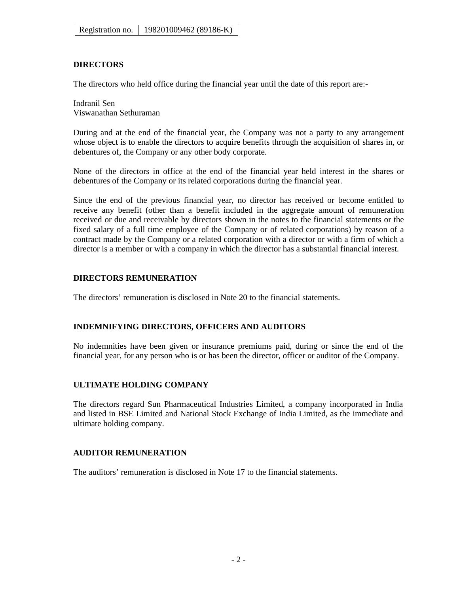# **DIRECTORS**

The directors who held office during the financial year until the date of this report are:-

Indranil Sen Viswanathan Sethuraman

During and at the end of the financial year, the Company was not a party to any arrangement whose object is to enable the directors to acquire benefits through the acquisition of shares in, or debentures of, the Company or any other body corporate.

None of the directors in office at the end of the financial year held interest in the shares or debentures of the Company or its related corporations during the financial year.

Since the end of the previous financial year, no director has received or become entitled to receive any benefit (other than a benefit included in the aggregate amount of remuneration received or due and receivable by directors shown in the notes to the financial statements or the fixed salary of a full time employee of the Company or of related corporations) by reason of a contract made by the Company or a related corporation with a director or with a firm of which a director is a member or with a company in which the director has a substantial financial interest.

# **DIRECTORS REMUNERATION**

The directors' remuneration is disclosed in Note 20 to the financial statements.

## **INDEMNIFYING DIRECTORS, OFFICERS AND AUDITORS**

No indemnities have been given or insurance premiums paid, during or since the end of the financial year, for any person who is or has been the director, officer or auditor of the Company.

# **ULTIMATE HOLDING COMPANY**

The directors regard Sun Pharmaceutical Industries Limited, a company incorporated in India and listed in BSE Limited and National Stock Exchange of India Limited, as the immediate and ultimate holding company.

# **AUDITOR REMUNERATION**

The auditors' remuneration is disclosed in Note 17 to the financial statements.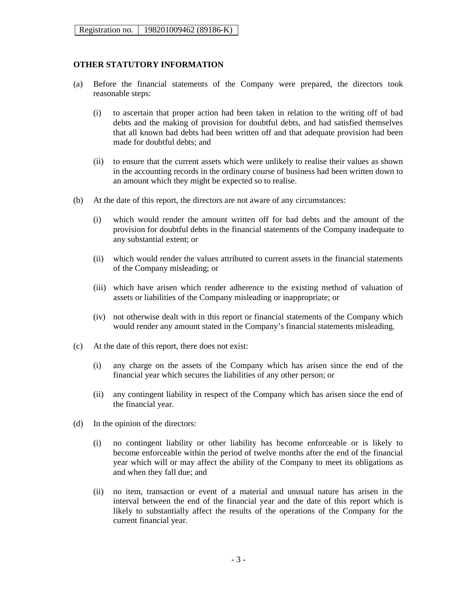## **OTHER STATUTORY INFORMATION**

- (a) Before the financial statements of the Company were prepared, the directors took reasonable steps:
	- (i) to ascertain that proper action had been taken in relation to the writing off of bad debts and the making of provision for doubtful debts, and had satisfied themselves that all known bad debts had been written off and that adequate provision had been made for doubtful debts; and
	- (ii) to ensure that the current assets which were unlikely to realise their values as shown in the accounting records in the ordinary course of business had been written down to an amount which they might be expected so to realise.
- (b) At the date of this report, the directors are not aware of any circumstances:
	- (i) which would render the amount written off for bad debts and the amount of the provision for doubtful debts in the financial statements of the Company inadequate to any substantial extent; or
	- (ii) which would render the values attributed to current assets in the financial statements of the Company misleading; or
	- (iii) which have arisen which render adherence to the existing method of valuation of assets or liabilities of the Company misleading or inappropriate; or
	- (iv) not otherwise dealt with in this report or financial statements of the Company which would render any amount stated in the Company's financial statements misleading.
- (c) At the date of this report, there does not exist:
	- (i) any charge on the assets of the Company which has arisen since the end of the financial year which secures the liabilities of any other person; or
	- (ii) any contingent liability in respect of the Company which has arisen since the end of the financial year.
- (d) In the opinion of the directors:
	- (i) no contingent liability or other liability has become enforceable or is likely to become enforceable within the period of twelve months after the end of the financial year which will or may affect the ability of the Company to meet its obligations as and when they fall due; and
	- (ii) no item, transaction or event of a material and unusual nature has arisen in the interval between the end of the financial year and the date of this report which is likely to substantially affect the results of the operations of the Company for the current financial year.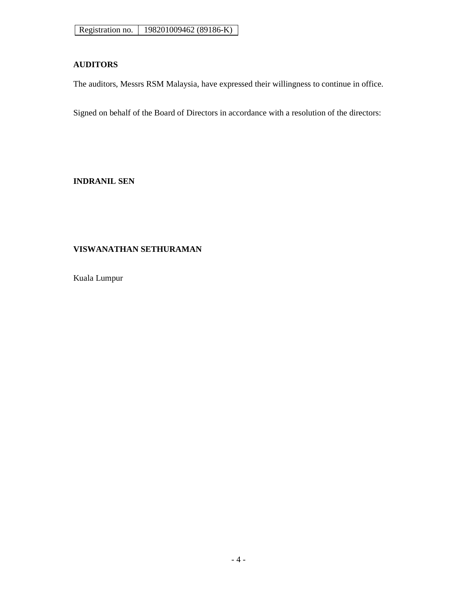# **AUDITORS**

The auditors, Messrs RSM Malaysia, have expressed their willingness to continue in office.

Signed on behalf of the Board of Directors in accordance with a resolution of the directors:

**INDRANIL SEN** 

# **VISWANATHAN SETHURAMAN**

Kuala Lumpur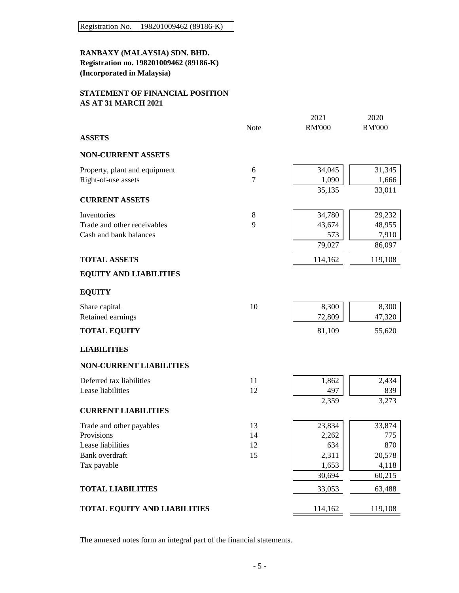## **STATEMENT OF FINANCIAL POSITION AS AT 31 MARCH 2021**

|                                        |                | 2021            | 2020          |
|----------------------------------------|----------------|-----------------|---------------|
| <b>ASSETS</b>                          | Note           | <b>RM'000</b>   | <b>RM'000</b> |
| <b>NON-CURRENT ASSETS</b>              |                |                 |               |
| Property, plant and equipment          | 6              | 34,045          | 31,345        |
| Right-of-use assets                    | $\overline{7}$ | 1,090           | 1,666         |
| <b>CURRENT ASSETS</b>                  |                | 35,135          | 33,011        |
| Inventories                            | 8              | 34,780          | 29,232        |
| Trade and other receivables            | 9              | 43,674          | 48,955        |
| Cash and bank balances                 |                | 573             | 7,910         |
|                                        |                | 79,027          | 86,097        |
| <b>TOTAL ASSETS</b>                    |                | 114,162         | 119,108       |
| <b>EQUITY AND LIABILITIES</b>          |                |                 |               |
| <b>EQUITY</b>                          |                |                 |               |
| Share capital                          | 10             | 8,300           | 8,300         |
| Retained earnings                      |                | 72,809          | 47,320        |
| <b>TOTAL EQUITY</b>                    |                | 81,109          | 55,620        |
| <b>LIABILITIES</b>                     |                |                 |               |
| <b>NON-CURRENT LIABILITIES</b>         |                |                 |               |
| Deferred tax liabilities               | 11             | 1,862           | 2,434         |
| Lease liabilities                      | 12             | 497             | 839           |
| <b>CURRENT LIABILITIES</b>             |                | 2,359           | 3,273         |
|                                        |                |                 |               |
| Trade and other payables<br>Provisions | 13<br>14       | 23,834<br>2,262 | 33,874<br>775 |
| Lease liabilities                      | 12             | 634             | 870           |
| Bank overdraft                         | 15             | 2,311           | 20,578        |
| Tax payable                            |                | 1,653           | 4,118         |
|                                        |                | 30,694          | 60,215        |
| <b>TOTAL LIABILITIES</b>               |                | 33,053          | 63,488        |
| <b>TOTAL EQUITY AND LIABILITIES</b>    |                | 114,162         | 119,108       |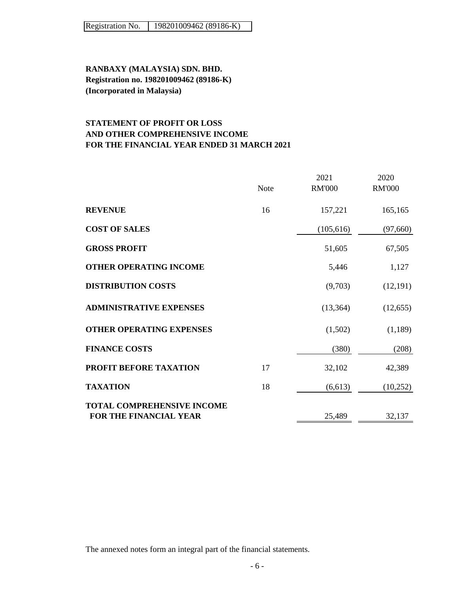# **STATEMENT OF PROFIT OR LOSS AND OTHER COMPREHENSIVE INCOME FOR THE FINANCIAL YEAR ENDED 31 MARCH 2021**

|                                                                    | <b>Note</b> | 2021<br><b>RM'000</b> | 2020<br><b>RM'000</b> |
|--------------------------------------------------------------------|-------------|-----------------------|-----------------------|
| <b>REVENUE</b>                                                     | 16          | 157,221               | 165,165               |
| <b>COST OF SALES</b>                                               |             | (105, 616)            | (97,660)              |
| <b>GROSS PROFIT</b>                                                |             | 51,605                | 67,505                |
| <b>OTHER OPERATING INCOME</b>                                      |             | 5,446                 | 1,127                 |
| <b>DISTRIBUTION COSTS</b>                                          |             | (9,703)               | (12, 191)             |
| <b>ADMINISTRATIVE EXPENSES</b>                                     |             | (13, 364)             | (12, 655)             |
| <b>OTHER OPERATING EXPENSES</b>                                    |             | (1,502)               | (1,189)               |
| <b>FINANCE COSTS</b>                                               |             | (380)                 | (208)                 |
| <b>PROFIT BEFORE TAXATION</b>                                      | 17          | 32,102                | 42,389                |
| <b>TAXATION</b>                                                    | 18          | (6,613)               | (10,252)              |
| <b>TOTAL COMPREHENSIVE INCOME</b><br><b>FOR THE FINANCIAL YEAR</b> |             | 25,489                | 32,137                |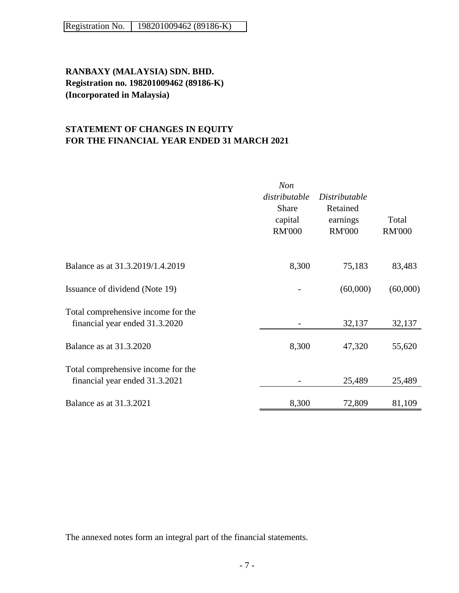# **STATEMENT OF CHANGES IN EQUITY FOR THE FINANCIAL YEAR ENDED 31 MARCH 2021**

|                                                                      | <b>Non</b><br>distributable<br><b>Share</b><br>capital<br><b>RM'000</b> | Distributable<br>Retained<br>earnings<br><b>RM'000</b> | Total<br><b>RM'000</b> |
|----------------------------------------------------------------------|-------------------------------------------------------------------------|--------------------------------------------------------|------------------------|
| Balance as at 31.3.2019/1.4.2019                                     | 8,300                                                                   | 75,183                                                 | 83,483                 |
| Issuance of dividend (Note 19)                                       |                                                                         | (60,000)                                               | (60,000)               |
| Total comprehensive income for the<br>financial year ended 31.3.2020 |                                                                         | 32,137                                                 | 32,137                 |
| Balance as at 31.3.2020                                              | 8,300                                                                   | 47,320                                                 | 55,620                 |
| Total comprehensive income for the<br>financial year ended 31.3.2021 |                                                                         | 25,489                                                 | 25,489                 |
| Balance as at 31.3.2021                                              | 8,300                                                                   | 72,809                                                 | 81,109                 |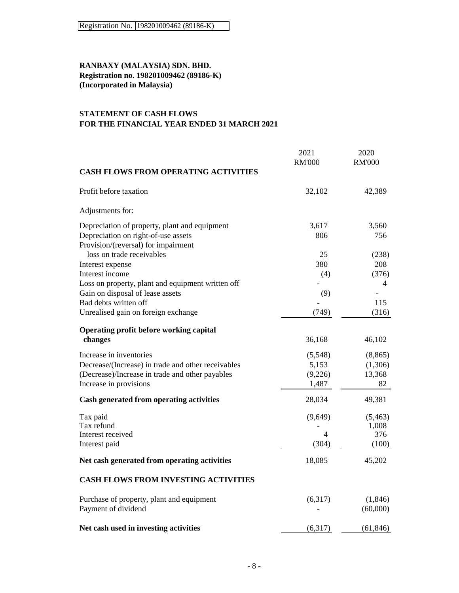# **STATEMENT OF CASH FLOWS FOR THE FINANCIAL YEAR ENDED 31 MARCH 2021**

|                                                    | 2021<br><b>RM'000</b> | 2020<br><b>RM'000</b> |
|----------------------------------------------------|-----------------------|-----------------------|
| <b>CASH FLOWS FROM OPERATING ACTIVITIES</b>        |                       |                       |
| Profit before taxation                             | 32,102                | 42,389                |
| Adjustments for:                                   |                       |                       |
| Depreciation of property, plant and equipment      | 3,617                 | 3,560                 |
| Depreciation on right-of-use assets                | 806                   | 756                   |
| Provision/(reversal) for impairment                |                       |                       |
| loss on trade receivables                          | 25                    | (238)                 |
| Interest expense                                   | 380                   | 208                   |
| Interest income                                    | (4)                   | (376)                 |
| Loss on property, plant and equipment written off  |                       | 4                     |
| Gain on disposal of lease assets                   | (9)                   |                       |
| Bad debts written off                              |                       | 115                   |
| Unrealised gain on foreign exchange                | (749)                 | (316)                 |
| Operating profit before working capital            |                       |                       |
| changes                                            | 36,168                | 46,102                |
| Increase in inventories                            | (5,548)               | (8, 865)              |
| Decrease/(Increase) in trade and other receivables | 5,153                 | (1,306)               |
| (Decrease)/Increase in trade and other payables    | (9,226)               | 13,368                |
| Increase in provisions                             | 1,487                 | 82                    |
| Cash generated from operating activities           | 28,034                | 49,381                |
| Tax paid                                           | (9,649)               | (5, 463)              |
| Tax refund                                         |                       | 1,008                 |
| Interest received                                  | 4                     | 376                   |
| Interest paid                                      | (304)                 | (100)                 |
| Net cash generated from operating activities       | 18,085                | 45,202                |
| <b>CASH FLOWS FROM INVESTING ACTIVITIES</b>        |                       |                       |
|                                                    |                       |                       |
| Purchase of property, plant and equipment          | (6,317)               | (1,846)               |
| Payment of dividend                                |                       | (60,000)              |
| Net cash used in investing activities              | (6,317)               | (61, 846)             |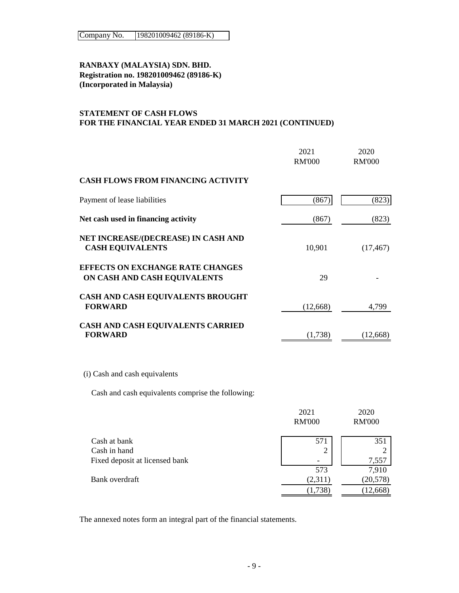## **STATEMENT OF CASH FLOWS FOR THE FINANCIAL YEAR ENDED 31 MARCH 2021 (CONTINUED)**

|                                                                         | 2021<br><b>RM'000</b> | 2020<br><b>RM'000</b> |
|-------------------------------------------------------------------------|-----------------------|-----------------------|
| <b>CASH FLOWS FROM FINANCING ACTIVITY</b>                               |                       |                       |
| Payment of lease liabilities                                            | (867)                 | (823)                 |
| Net cash used in financing activity                                     | (867)                 | (823)                 |
| NET INCREASE/(DECREASE) IN CASH AND<br><b>CASH EQUIVALENTS</b>          | 10,901                | (17, 467)             |
| <b>EFFECTS ON EXCHANGE RATE CHANGES</b><br>ON CASH AND CASH EQUIVALENTS | 29                    |                       |
| CASH AND CASH EQUIVALENTS BROUGHT<br><b>FORWARD</b>                     | (12,668)              | 4,799                 |
| CASH AND CASH EQUIVALENTS CARRIED<br><b>FORWARD</b>                     | (1,738)               | (12, 668)             |

(i) Cash and cash equivalents

Cash and cash equivalents comprise the following:

|                                | 2021<br><b>RM'000</b> | 2020<br><b>RM'000</b> |
|--------------------------------|-----------------------|-----------------------|
| Cash at bank                   | 571                   | 351                   |
| Cash in hand                   | 2                     |                       |
| Fixed deposit at licensed bank |                       | 7,557                 |
|                                | 573                   | 7,910                 |
| Bank overdraft                 | (2,311)               | (20, 578)             |
|                                | (1,738)               | (12, 668)             |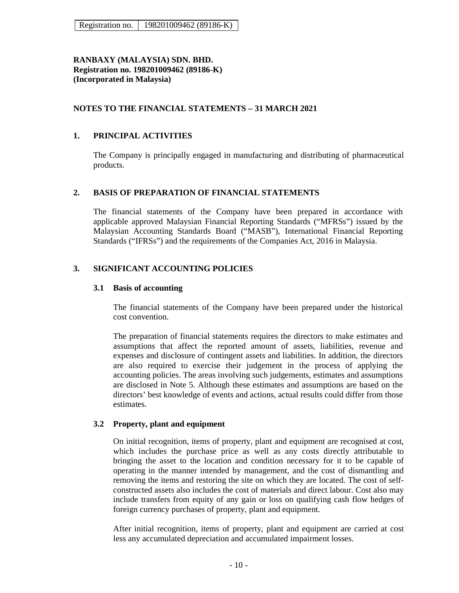# **NOTES TO THE FINANCIAL STATEMENTS – 31 MARCH 2021**

# **1. PRINCIPAL ACTIVITIES**

The Company is principally engaged in manufacturing and distributing of pharmaceutical products.

## **2. BASIS OF PREPARATION OF FINANCIAL STATEMENTS**

The financial statements of the Company have been prepared in accordance with applicable approved Malaysian Financial Reporting Standards ("MFRSs") issued by the Malaysian Accounting Standards Board ("MASB"), International Financial Reporting Standards ("IFRSs") and the requirements of the Companies Act, 2016 in Malaysia.

# **3. SIGNIFICANT ACCOUNTING POLICIES**

# **3.1 Basis of accounting**

The financial statements of the Company have been prepared under the historical cost convention.

The preparation of financial statements requires the directors to make estimates and assumptions that affect the reported amount of assets, liabilities, revenue and expenses and disclosure of contingent assets and liabilities. In addition, the directors are also required to exercise their judgement in the process of applying the accounting policies. The areas involving such judgements, estimates and assumptions are disclosed in Note 5. Although these estimates and assumptions are based on the directors' best knowledge of events and actions, actual results could differ from those estimates.

## **3.2 Property, plant and equipment**

On initial recognition, items of property, plant and equipment are recognised at cost, which includes the purchase price as well as any costs directly attributable to bringing the asset to the location and condition necessary for it to be capable of operating in the manner intended by management, and the cost of dismantling and removing the items and restoring the site on which they are located. The cost of selfconstructed assets also includes the cost of materials and direct labour. Cost also may include transfers from equity of any gain or loss on qualifying cash flow hedges of foreign currency purchases of property, plant and equipment.

After initial recognition, items of property, plant and equipment are carried at cost less any accumulated depreciation and accumulated impairment losses.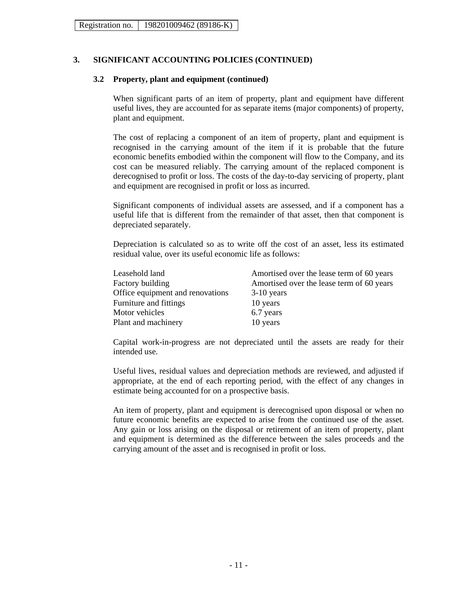# **3. SIGNIFICANT ACCOUNTING POLICIES (CONTINUED)**

## **3.2 Property, plant and equipment (continued)**

When significant parts of an item of property, plant and equipment have different useful lives, they are accounted for as separate items (major components) of property, plant and equipment.

The cost of replacing a component of an item of property, plant and equipment is recognised in the carrying amount of the item if it is probable that the future economic benefits embodied within the component will flow to the Company, and its cost can be measured reliably. The carrying amount of the replaced component is derecognised to profit or loss. The costs of the day-to-day servicing of property, plant and equipment are recognised in profit or loss as incurred.

Significant components of individual assets are assessed, and if a component has a useful life that is different from the remainder of that asset, then that component is depreciated separately.

Depreciation is calculated so as to write off the cost of an asset, less its estimated residual value, over its useful economic life as follows:

| Leasehold land                   | Amortised over the lease term of 60 years |
|----------------------------------|-------------------------------------------|
| Factory building                 | Amortised over the lease term of 60 years |
| Office equipment and renovations | $3-10$ years                              |
| Furniture and fittings           | 10 years                                  |
| Motor vehicles                   | 6.7 years                                 |
| Plant and machinery              | 10 years                                  |

Capital work-in-progress are not depreciated until the assets are ready for their intended use.

Useful lives, residual values and depreciation methods are reviewed, and adjusted if appropriate, at the end of each reporting period, with the effect of any changes in estimate being accounted for on a prospective basis.

An item of property, plant and equipment is derecognised upon disposal or when no future economic benefits are expected to arise from the continued use of the asset. Any gain or loss arising on the disposal or retirement of an item of property, plant and equipment is determined as the difference between the sales proceeds and the carrying amount of the asset and is recognised in profit or loss.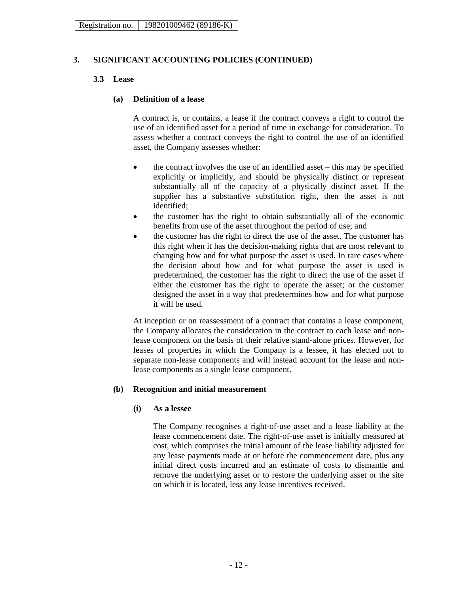## **3.3 Lease**

## **(a) Definition of a lease**

A contract is, or contains, a lease if the contract conveys a right to control the use of an identified asset for a period of time in exchange for consideration. To assess whether a contract conveys the right to control the use of an identified asset, the Company assesses whether:

- $\bullet$  the contract involves the use of an identified asset this may be specified explicitly or implicitly, and should be physically distinct or represent substantially all of the capacity of a physically distinct asset. If the supplier has a substantive substitution right, then the asset is not identified;
- the customer has the right to obtain substantially all of the economic benefits from use of the asset throughout the period of use; and
- the customer has the right to direct the use of the asset. The customer has this right when it has the decision-making rights that are most relevant to changing how and for what purpose the asset is used. In rare cases where the decision about how and for what purpose the asset is used is predetermined, the customer has the right to direct the use of the asset if either the customer has the right to operate the asset; or the customer designed the asset in a way that predetermines how and for what purpose it will be used.

At inception or on reassessment of a contract that contains a lease component, the Company allocates the consideration in the contract to each lease and nonlease component on the basis of their relative stand-alone prices. However, for leases of properties in which the Company is a lessee, it has elected not to separate non-lease components and will instead account for the lease and nonlease components as a single lease component.

## **(b) Recognition and initial measurement**

## **(i) As a lessee**

The Company recognises a right-of-use asset and a lease liability at the lease commencement date. The right-of-use asset is initially measured at cost, which comprises the initial amount of the lease liability adjusted for any lease payments made at or before the commencement date, plus any initial direct costs incurred and an estimate of costs to dismantle and remove the underlying asset or to restore the underlying asset or the site on which it is located, less any lease incentives received.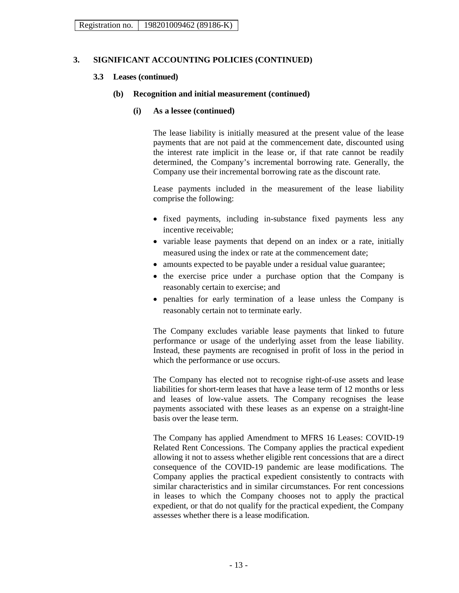# **3. SIGNIFICANT ACCOUNTING POLICIES (CONTINUED)**

## **3.3 Leases (continued)**

## **(b) Recognition and initial measurement (continued)**

## **(i) As a lessee (continued)**

The lease liability is initially measured at the present value of the lease payments that are not paid at the commencement date, discounted using the interest rate implicit in the lease or, if that rate cannot be readily determined, the Company's incremental borrowing rate. Generally, the Company use their incremental borrowing rate as the discount rate.

Lease payments included in the measurement of the lease liability comprise the following:

- fixed payments, including in-substance fixed payments less any incentive receivable;
- variable lease payments that depend on an index or a rate, initially measured using the index or rate at the commencement date;
- amounts expected to be payable under a residual value guarantee;
- the exercise price under a purchase option that the Company is reasonably certain to exercise; and
- penalties for early termination of a lease unless the Company is reasonably certain not to terminate early.

The Company excludes variable lease payments that linked to future performance or usage of the underlying asset from the lease liability. Instead, these payments are recognised in profit of loss in the period in which the performance or use occurs.

The Company has elected not to recognise right-of-use assets and lease liabilities for short-term leases that have a lease term of 12 months or less and leases of low-value assets. The Company recognises the lease payments associated with these leases as an expense on a straight-line basis over the lease term.

The Company has applied Amendment to MFRS 16 Leases: COVID-19 Related Rent Concessions. The Company applies the practical expedient allowing it not to assess whether eligible rent concessions that are a direct consequence of the COVID-19 pandemic are lease modifications. The Company applies the practical expedient consistently to contracts with similar characteristics and in similar circumstances. For rent concessions in leases to which the Company chooses not to apply the practical expedient, or that do not qualify for the practical expedient, the Company assesses whether there is a lease modification.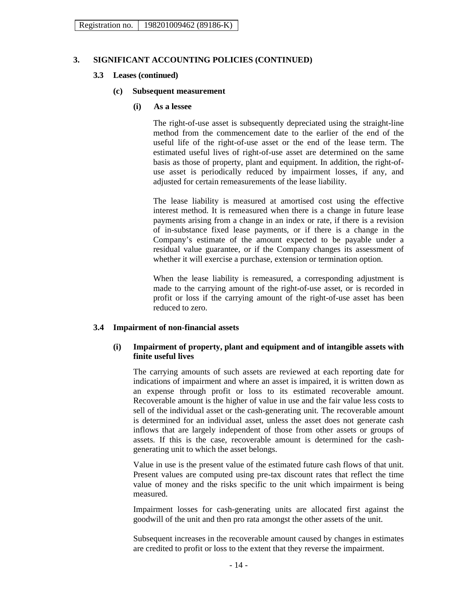## **3.3 Leases (continued)**

- **(c) Subsequent measurement** 
	- **(i) As a lessee**

The right-of-use asset is subsequently depreciated using the straight-line method from the commencement date to the earlier of the end of the useful life of the right-of-use asset or the end of the lease term. The estimated useful lives of right-of-use asset are determined on the same basis as those of property, plant and equipment. In addition, the right-ofuse asset is periodically reduced by impairment losses, if any, and adjusted for certain remeasurements of the lease liability.

The lease liability is measured at amortised cost using the effective interest method. It is remeasured when there is a change in future lease payments arising from a change in an index or rate, if there is a revision of in-substance fixed lease payments, or if there is a change in the Company's estimate of the amount expected to be payable under a residual value guarantee, or if the Company changes its assessment of whether it will exercise a purchase, extension or termination option.

When the lease liability is remeasured, a corresponding adjustment is made to the carrying amount of the right-of-use asset, or is recorded in profit or loss if the carrying amount of the right-of-use asset has been reduced to zero.

## **3.4 Impairment of non-financial assets**

# **(i) Impairment of property, plant and equipment and of intangible assets with finite useful lives**

The carrying amounts of such assets are reviewed at each reporting date for indications of impairment and where an asset is impaired, it is written down as an expense through profit or loss to its estimated recoverable amount. Recoverable amount is the higher of value in use and the fair value less costs to sell of the individual asset or the cash-generating unit. The recoverable amount is determined for an individual asset, unless the asset does not generate cash inflows that are largely independent of those from other assets or groups of assets. If this is the case, recoverable amount is determined for the cashgenerating unit to which the asset belongs.

Value in use is the present value of the estimated future cash flows of that unit. Present values are computed using pre-tax discount rates that reflect the time value of money and the risks specific to the unit which impairment is being measured.

Impairment losses for cash-generating units are allocated first against the goodwill of the unit and then pro rata amongst the other assets of the unit.

Subsequent increases in the recoverable amount caused by changes in estimates are credited to profit or loss to the extent that they reverse the impairment.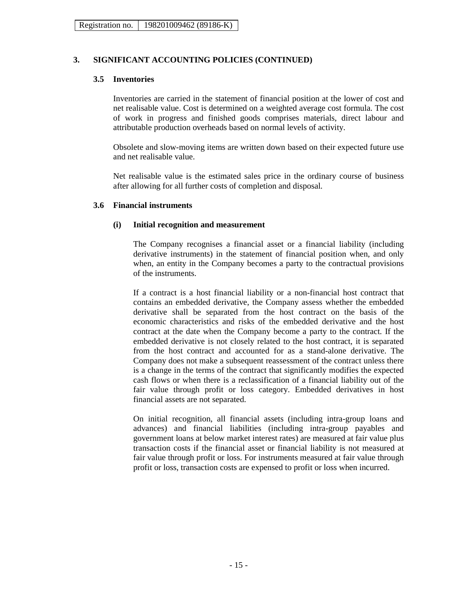## **3.5 Inventories**

Inventories are carried in the statement of financial position at the lower of cost and net realisable value. Cost is determined on a weighted average cost formula. The cost of work in progress and finished goods comprises materials, direct labour and attributable production overheads based on normal levels of activity.

Obsolete and slow-moving items are written down based on their expected future use and net realisable value.

Net realisable value is the estimated sales price in the ordinary course of business after allowing for all further costs of completion and disposal.

## **3.6 Financial instruments**

### **(i) Initial recognition and measurement**

The Company recognises a financial asset or a financial liability (including derivative instruments) in the statement of financial position when, and only when, an entity in the Company becomes a party to the contractual provisions of the instruments.

If a contract is a host financial liability or a non-financial host contract that contains an embedded derivative, the Company assess whether the embedded derivative shall be separated from the host contract on the basis of the economic characteristics and risks of the embedded derivative and the host contract at the date when the Company become a party to the contract. If the embedded derivative is not closely related to the host contract, it is separated from the host contract and accounted for as a stand-alone derivative. The Company does not make a subsequent reassessment of the contract unless there is a change in the terms of the contract that significantly modifies the expected cash flows or when there is a reclassification of a financial liability out of the fair value through profit or loss category. Embedded derivatives in host financial assets are not separated.

On initial recognition, all financial assets (including intra-group loans and advances) and financial liabilities (including intra-group payables and government loans at below market interest rates) are measured at fair value plus transaction costs if the financial asset or financial liability is not measured at fair value through profit or loss. For instruments measured at fair value through profit or loss, transaction costs are expensed to profit or loss when incurred.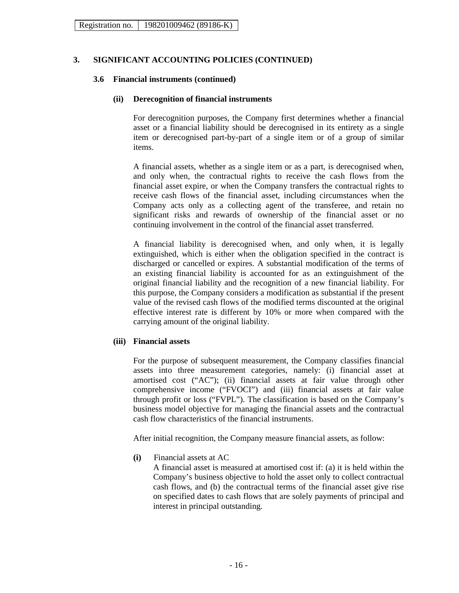# **3. SIGNIFICANT ACCOUNTING POLICIES (CONTINUED)**

## **3.6 Financial instruments (continued)**

## **(ii) Derecognition of financial instruments**

For derecognition purposes, the Company first determines whether a financial asset or a financial liability should be derecognised in its entirety as a single item or derecognised part-by-part of a single item or of a group of similar items.

A financial assets, whether as a single item or as a part, is derecognised when, and only when, the contractual rights to receive the cash flows from the financial asset expire, or when the Company transfers the contractual rights to receive cash flows of the financial asset, including circumstances when the Company acts only as a collecting agent of the transferee, and retain no significant risks and rewards of ownership of the financial asset or no continuing involvement in the control of the financial asset transferred.

A financial liability is derecognised when, and only when, it is legally extinguished, which is either when the obligation specified in the contract is discharged or cancelled or expires. A substantial modification of the terms of an existing financial liability is accounted for as an extinguishment of the original financial liability and the recognition of a new financial liability. For this purpose, the Company considers a modification as substantial if the present value of the revised cash flows of the modified terms discounted at the original effective interest rate is different by 10% or more when compared with the carrying amount of the original liability.

## **(iii) Financial assets**

For the purpose of subsequent measurement, the Company classifies financial assets into three measurement categories, namely: (i) financial asset at amortised cost ("AC"); (ii) financial assets at fair value through other comprehensive income ("FVOCI") and (iii) financial assets at fair value through profit or loss ("FVPL"). The classification is based on the Company's business model objective for managing the financial assets and the contractual cash flow characteristics of the financial instruments.

After initial recognition, the Company measure financial assets, as follow:

## **(i)** Financial assets at AC

A financial asset is measured at amortised cost if: (a) it is held within the Company's business objective to hold the asset only to collect contractual cash flows, and (b) the contractual terms of the financial asset give rise on specified dates to cash flows that are solely payments of principal and interest in principal outstanding.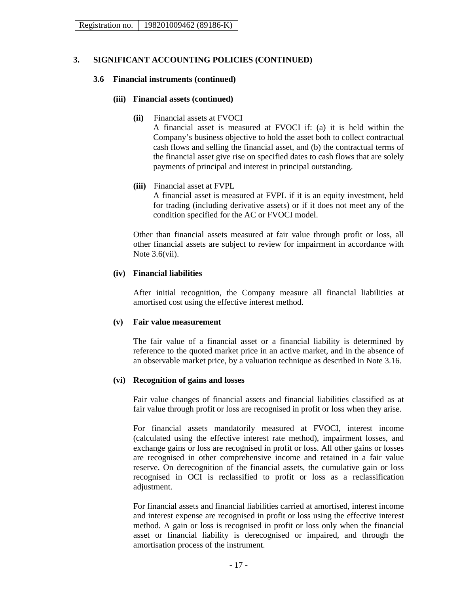# **3. SIGNIFICANT ACCOUNTING POLICIES (CONTINUED)**

## **3.6 Financial instruments (continued)**

### **(iii) Financial assets (continued)**

**(ii)** Financial assets at FVOCI

A financial asset is measured at FVOCI if: (a) it is held within the Company's business objective to hold the asset both to collect contractual cash flows and selling the financial asset, and (b) the contractual terms of the financial asset give rise on specified dates to cash flows that are solely payments of principal and interest in principal outstanding.

**(iii)** Financial asset at FVPL

A financial asset is measured at FVPL if it is an equity investment, held for trading (including derivative assets) or if it does not meet any of the condition specified for the AC or FVOCI model.

Other than financial assets measured at fair value through profit or loss, all other financial assets are subject to review for impairment in accordance with Note 3.6(vii).

### **(iv) Financial liabilities**

After initial recognition, the Company measure all financial liabilities at amortised cost using the effective interest method.

#### **(v) Fair value measurement**

The fair value of a financial asset or a financial liability is determined by reference to the quoted market price in an active market, and in the absence of an observable market price, by a valuation technique as described in Note 3.16.

## **(vi) Recognition of gains and losses**

Fair value changes of financial assets and financial liabilities classified as at fair value through profit or loss are recognised in profit or loss when they arise.

For financial assets mandatorily measured at FVOCI, interest income (calculated using the effective interest rate method), impairment losses, and exchange gains or loss are recognised in profit or loss. All other gains or losses are recognised in other comprehensive income and retained in a fair value reserve. On derecognition of the financial assets, the cumulative gain or loss recognised in OCI is reclassified to profit or loss as a reclassification adjustment.

For financial assets and financial liabilities carried at amortised, interest income and interest expense are recognised in profit or loss using the effective interest method. A gain or loss is recognised in profit or loss only when the financial asset or financial liability is derecognised or impaired, and through the amortisation process of the instrument.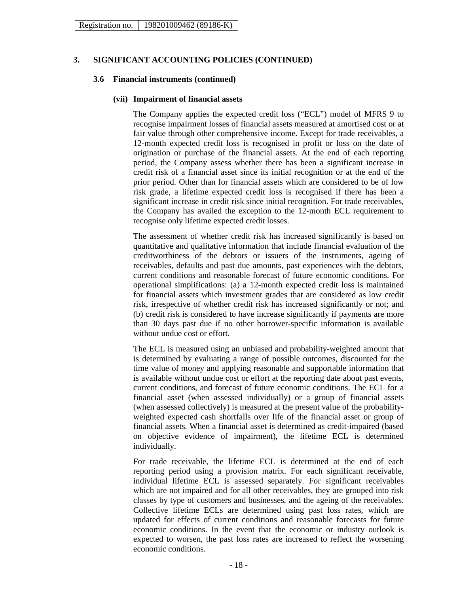## **3. SIGNIFICANT ACCOUNTING POLICIES (CONTINUED)**

#### **3.6 Financial instruments (continued)**

#### **(vii) Impairment of financial assets**

The Company applies the expected credit loss ("ECL") model of MFRS 9 to recognise impairment losses of financial assets measured at amortised cost or at fair value through other comprehensive income. Except for trade receivables, a 12-month expected credit loss is recognised in profit or loss on the date of origination or purchase of the financial assets. At the end of each reporting period, the Company assess whether there has been a significant increase in credit risk of a financial asset since its initial recognition or at the end of the prior period. Other than for financial assets which are considered to be of low risk grade, a lifetime expected credit loss is recognised if there has been a significant increase in credit risk since initial recognition. For trade receivables, the Company has availed the exception to the 12-month ECL requirement to recognise only lifetime expected credit losses.

The assessment of whether credit risk has increased significantly is based on quantitative and qualitative information that include financial evaluation of the creditworthiness of the debtors or issuers of the instruments, ageing of receivables, defaults and past due amounts, past experiences with the debtors, current conditions and reasonable forecast of future economic conditions. For operational simplifications: (a) a 12-month expected credit loss is maintained for financial assets which investment grades that are considered as low credit risk, irrespective of whether credit risk has increased significantly or not; and (b) credit risk is considered to have increase significantly if payments are more than 30 days past due if no other borrower-specific information is available without undue cost or effort.

The ECL is measured using an unbiased and probability-weighted amount that is determined by evaluating a range of possible outcomes, discounted for the time value of money and applying reasonable and supportable information that is available without undue cost or effort at the reporting date about past events, current conditions, and forecast of future economic conditions. The ECL for a financial asset (when assessed individually) or a group of financial assets (when assessed collectively) is measured at the present value of the probabilityweighted expected cash shortfalls over life of the financial asset or group of financial assets. When a financial asset is determined as credit-impaired (based on objective evidence of impairment), the lifetime ECL is determined individually.

For trade receivable, the lifetime ECL is determined at the end of each reporting period using a provision matrix. For each significant receivable, individual lifetime ECL is assessed separately. For significant receivables which are not impaired and for all other receivables, they are grouped into risk classes by type of customers and businesses, and the ageing of the receivables. Collective lifetime ECLs are determined using past loss rates, which are updated for effects of current conditions and reasonable forecasts for future economic conditions. In the event that the economic or industry outlook is expected to worsen, the past loss rates are increased to reflect the worsening economic conditions.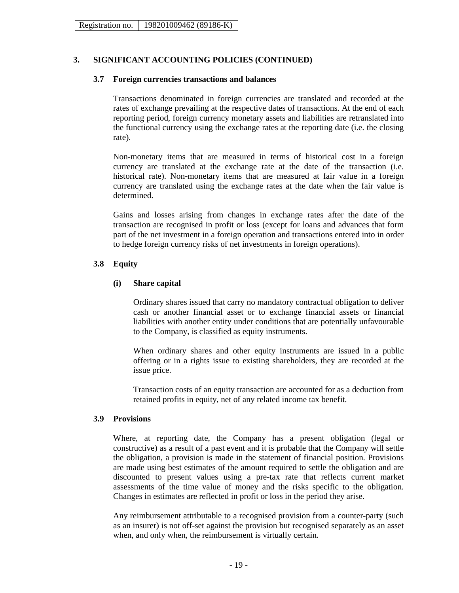# **3. SIGNIFICANT ACCOUNTING POLICIES (CONTINUED)**

### **3.7 Foreign currencies transactions and balances**

Transactions denominated in foreign currencies are translated and recorded at the rates of exchange prevailing at the respective dates of transactions. At the end of each reporting period, foreign currency monetary assets and liabilities are retranslated into the functional currency using the exchange rates at the reporting date (i.e. the closing rate).

Non-monetary items that are measured in terms of historical cost in a foreign currency are translated at the exchange rate at the date of the transaction (i.e. historical rate). Non-monetary items that are measured at fair value in a foreign currency are translated using the exchange rates at the date when the fair value is determined.

Gains and losses arising from changes in exchange rates after the date of the transaction are recognised in profit or loss (except for loans and advances that form part of the net investment in a foreign operation and transactions entered into in order to hedge foreign currency risks of net investments in foreign operations).

# **3.8 Equity**

## **(i) Share capital**

Ordinary shares issued that carry no mandatory contractual obligation to deliver cash or another financial asset or to exchange financial assets or financial liabilities with another entity under conditions that are potentially unfavourable to the Company, is classified as equity instruments.

When ordinary shares and other equity instruments are issued in a public offering or in a rights issue to existing shareholders, they are recorded at the issue price.

Transaction costs of an equity transaction are accounted for as a deduction from retained profits in equity, net of any related income tax benefit.

## **3.9 Provisions**

Where, at reporting date, the Company has a present obligation (legal or constructive) as a result of a past event and it is probable that the Company will settle the obligation, a provision is made in the statement of financial position. Provisions are made using best estimates of the amount required to settle the obligation and are discounted to present values using a pre-tax rate that reflects current market assessments of the time value of money and the risks specific to the obligation. Changes in estimates are reflected in profit or loss in the period they arise.

Any reimbursement attributable to a recognised provision from a counter-party (such as an insurer) is not off-set against the provision but recognised separately as an asset when, and only when, the reimbursement is virtually certain.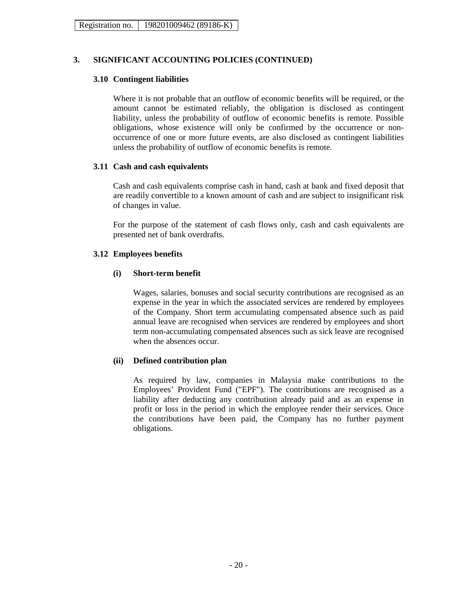# **3.10 Contingent liabilities**

Where it is not probable that an outflow of economic benefits will be required, or the amount cannot be estimated reliably, the obligation is disclosed as contingent liability, unless the probability of outflow of economic benefits is remote. Possible obligations, whose existence will only be confirmed by the occurrence or nonoccurrence of one or more future events, are also disclosed as contingent liabilities unless the probability of outflow of economic benefits is remote.

# **3.11 Cash and cash equivalents**

Cash and cash equivalents comprise cash in hand, cash at bank and fixed deposit that are readily convertible to a known amount of cash and are subject to insignificant risk of changes in value.

For the purpose of the statement of cash flows only, cash and cash equivalents are presented net of bank overdrafts.

# **3.12 Employees benefits**

# **(i) Short-term benefit**

Wages, salaries, bonuses and social security contributions are recognised as an expense in the year in which the associated services are rendered by employees of the Company. Short term accumulating compensated absence such as paid annual leave are recognised when services are rendered by employees and short term non-accumulating compensated absences such as sick leave are recognised when the absences occur.

# **(ii) Defined contribution plan**

As required by law, companies in Malaysia make contributions to the Employees' Provident Fund ("EPF"). The contributions are recognised as a liability after deducting any contribution already paid and as an expense in profit or loss in the period in which the employee render their services. Once the contributions have been paid, the Company has no further payment obligations.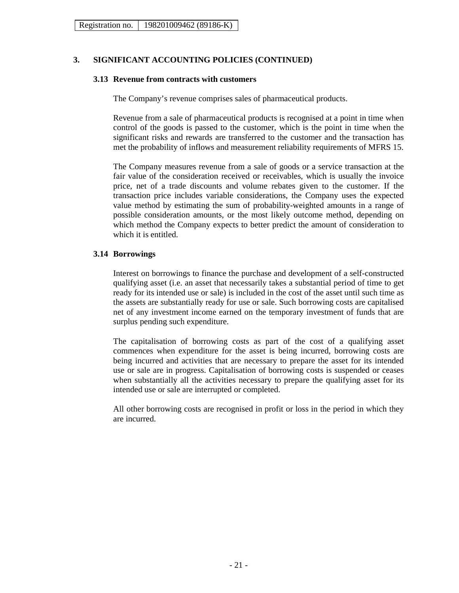## **3.13 Revenue from contracts with customers**

The Company's revenue comprises sales of pharmaceutical products.

Revenue from a sale of pharmaceutical products is recognised at a point in time when control of the goods is passed to the customer, which is the point in time when the significant risks and rewards are transferred to the customer and the transaction has met the probability of inflows and measurement reliability requirements of MFRS 15.

The Company measures revenue from a sale of goods or a service transaction at the fair value of the consideration received or receivables, which is usually the invoice price, net of a trade discounts and volume rebates given to the customer. If the transaction price includes variable considerations, the Company uses the expected value method by estimating the sum of probability-weighted amounts in a range of possible consideration amounts, or the most likely outcome method, depending on which method the Company expects to better predict the amount of consideration to which it is entitled.

## **3.14 Borrowings**

Interest on borrowings to finance the purchase and development of a self-constructed qualifying asset (i.e. an asset that necessarily takes a substantial period of time to get ready for its intended use or sale) is included in the cost of the asset until such time as the assets are substantially ready for use or sale. Such borrowing costs are capitalised net of any investment income earned on the temporary investment of funds that are surplus pending such expenditure.

The capitalisation of borrowing costs as part of the cost of a qualifying asset commences when expenditure for the asset is being incurred, borrowing costs are being incurred and activities that are necessary to prepare the asset for its intended use or sale are in progress. Capitalisation of borrowing costs is suspended or ceases when substantially all the activities necessary to prepare the qualifying asset for its intended use or sale are interrupted or completed.

All other borrowing costs are recognised in profit or loss in the period in which they are incurred.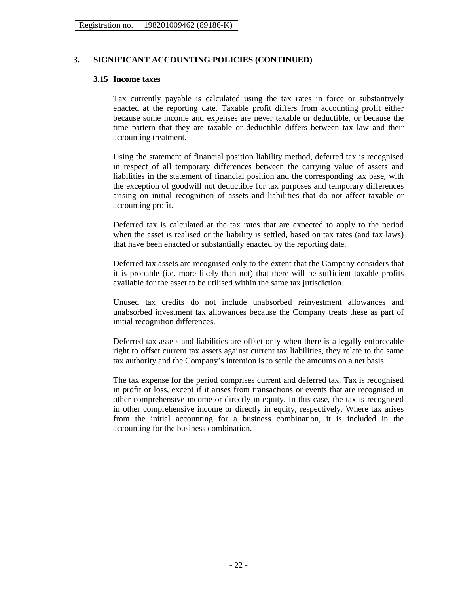### **3.15 Income taxes**

Tax currently payable is calculated using the tax rates in force or substantively enacted at the reporting date. Taxable profit differs from accounting profit either because some income and expenses are never taxable or deductible, or because the time pattern that they are taxable or deductible differs between tax law and their accounting treatment.

Using the statement of financial position liability method, deferred tax is recognised in respect of all temporary differences between the carrying value of assets and liabilities in the statement of financial position and the corresponding tax base, with the exception of goodwill not deductible for tax purposes and temporary differences arising on initial recognition of assets and liabilities that do not affect taxable or accounting profit.

Deferred tax is calculated at the tax rates that are expected to apply to the period when the asset is realised or the liability is settled, based on tax rates (and tax laws) that have been enacted or substantially enacted by the reporting date.

Deferred tax assets are recognised only to the extent that the Company considers that it is probable (i.e. more likely than not) that there will be sufficient taxable profits available for the asset to be utilised within the same tax jurisdiction.

Unused tax credits do not include unabsorbed reinvestment allowances and unabsorbed investment tax allowances because the Company treats these as part of initial recognition differences.

Deferred tax assets and liabilities are offset only when there is a legally enforceable right to offset current tax assets against current tax liabilities, they relate to the same tax authority and the Company's intention is to settle the amounts on a net basis.

The tax expense for the period comprises current and deferred tax. Tax is recognised in profit or loss, except if it arises from transactions or events that are recognised in other comprehensive income or directly in equity. In this case, the tax is recognised in other comprehensive income or directly in equity, respectively. Where tax arises from the initial accounting for a business combination, it is included in the accounting for the business combination.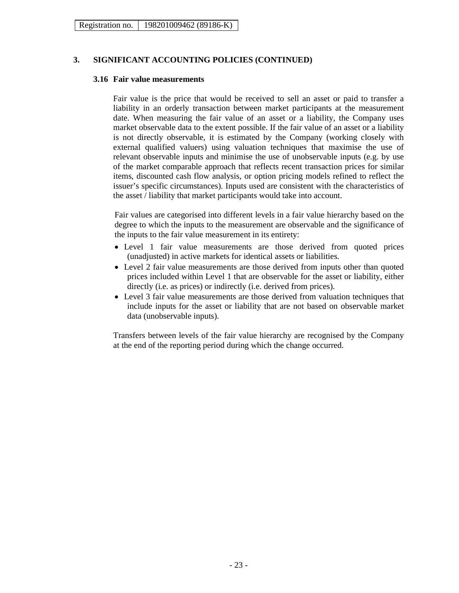## **3.16 Fair value measurements**

Fair value is the price that would be received to sell an asset or paid to transfer a liability in an orderly transaction between market participants at the measurement date. When measuring the fair value of an asset or a liability, the Company uses market observable data to the extent possible. If the fair value of an asset or a liability is not directly observable, it is estimated by the Company (working closely with external qualified valuers) using valuation techniques that maximise the use of relevant observable inputs and minimise the use of unobservable inputs (e.g. by use of the market comparable approach that reflects recent transaction prices for similar items, discounted cash flow analysis, or option pricing models refined to reflect the issuer's specific circumstances). Inputs used are consistent with the characteristics of the asset / liability that market participants would take into account.

Fair values are categorised into different levels in a fair value hierarchy based on the degree to which the inputs to the measurement are observable and the significance of the inputs to the fair value measurement in its entirety:

- Level 1 fair value measurements are those derived from quoted prices (unadjusted) in active markets for identical assets or liabilities.
- Level 2 fair value measurements are those derived from inputs other than quoted prices included within Level 1 that are observable for the asset or liability, either directly (i.e. as prices) or indirectly (i.e. derived from prices).
- Level 3 fair value measurements are those derived from valuation techniques that include inputs for the asset or liability that are not based on observable market data (unobservable inputs).

Transfers between levels of the fair value hierarchy are recognised by the Company at the end of the reporting period during which the change occurred.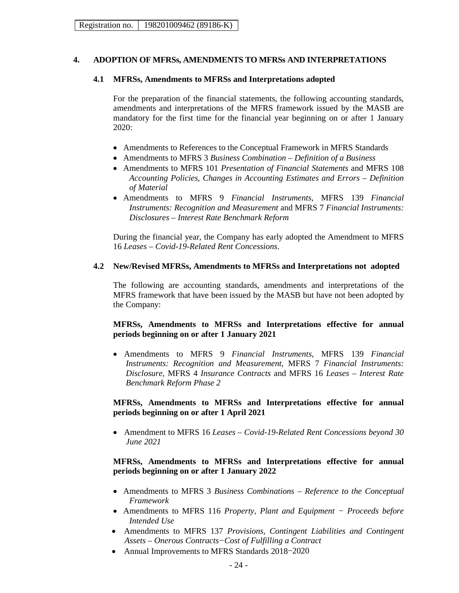# **4. ADOPTION OF MFRSs, AMENDMENTS TO MFRSs AND INTERPRETATIONS**

## **4.1 MFRSs, Amendments to MFRSs and Interpretations adopted**

For the preparation of the financial statements, the following accounting standards, amendments and interpretations of the MFRS framework issued by the MASB are mandatory for the first time for the financial year beginning on or after 1 January 2020:

- Amendments to References to the Conceptual Framework in MFRS Standards
- Amendments to MFRS 3 *Business Combination Definition of a Business*
- Amendments to MFRS 101 *Presentation of Financial Statements* and MFRS 108 *Accounting Policies, Changes in Accounting Estimates and Errors – Definition of Material*
- Amendments to MFRS 9 *Financial Instruments*, MFRS 139 *Financial Instruments: Recognition and Measurement* and MFRS 7 *Financial Instruments: Disclosures – Interest Rate Benchmark Reform*

During the financial year, the Company has early adopted the Amendment to MFRS 16 *Leases – Covid-19-Related Rent Concessions*.

## **4.2 New/Revised MFRSs, Amendments to MFRSs and Interpretations not adopted**

The following are accounting standards, amendments and interpretations of the MFRS framework that have been issued by the MASB but have not been adopted by the Company:

# **MFRSs, Amendments to MFRSs and Interpretations effective for annual periods beginning on or after 1 January 2021**

• Amendments to MFRS 9 *Financial Instruments*, MFRS 139 *Financial Instruments: Recognition and Measurement*, MFRS 7 *Financial Instruments: Disclosure*, MFRS 4 *Insurance Contracts* and MFRS 16 *Leases* – *Interest Rate Benchmark Reform Phase 2* 

# **MFRSs, Amendments to MFRSs and Interpretations effective for annual periods beginning on or after 1 April 2021**

• Amendment to MFRS 16 *Leases – Covid-19-Related Rent Concessions beyond 30 June 2021*

# **MFRSs, Amendments to MFRSs and Interpretations effective for annual periods beginning on or after 1 January 2022**

- Amendments to MFRS 3 *Business Combinations Reference to the Conceptual Framework*
- Amendments to MFRS 116 *Property, Plant and Equipment − Proceeds before Intended Use*
- Amendments to MFRS 137 *Provisions, Contingent Liabilities and Contingent Assets – Onerous Contracts−Cost of Fulfilling a Contract*
- Annual Improvements to MFRS Standards 2018−2020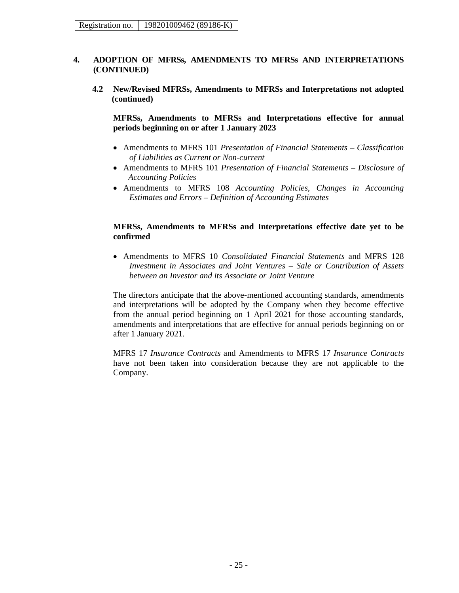# **4. ADOPTION OF MFRSs, AMENDMENTS TO MFRSs AND INTERPRETATIONS (CONTINUED)**

**4.2 New/Revised MFRSs, Amendments to MFRSs and Interpretations not adopted (continued)** 

**MFRSs, Amendments to MFRSs and Interpretations effective for annual periods beginning on or after 1 January 2023** 

- Amendments to MFRS 101 *Presentation of Financial Statements Classification of Liabilities as Current or Non-current*
- Amendments to MFRS 101 *Presentation of Financial Statements Disclosure of Accounting Policies*
- Amendments to MFRS 108 *Accounting Policies, Changes in Accounting Estimates and Errors – Definition of Accounting Estimates*

## **MFRSs, Amendments to MFRSs and Interpretations effective date yet to be confirmed**

• Amendments to MFRS 10 *Consolidated Financial Statements* and MFRS 128 *Investment in Associates and Joint Ventures – Sale or Contribution of Assets between an Investor and its Associate or Joint Venture*

The directors anticipate that the above-mentioned accounting standards, amendments and interpretations will be adopted by the Company when they become effective from the annual period beginning on 1 April 2021 for those accounting standards, amendments and interpretations that are effective for annual periods beginning on or after 1 January 2021.

MFRS 17 *Insurance Contracts* and Amendments to MFRS 17 *Insurance Contracts* have not been taken into consideration because they are not applicable to the Company.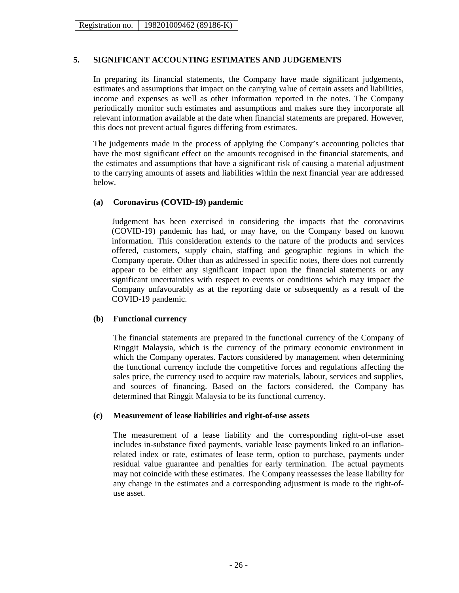# **5. SIGNIFICANT ACCOUNTING ESTIMATES AND JUDGEMENTS**

In preparing its financial statements, the Company have made significant judgements, estimates and assumptions that impact on the carrying value of certain assets and liabilities, income and expenses as well as other information reported in the notes. The Company periodically monitor such estimates and assumptions and makes sure they incorporate all relevant information available at the date when financial statements are prepared. However, this does not prevent actual figures differing from estimates.

The judgements made in the process of applying the Company's accounting policies that have the most significant effect on the amounts recognised in the financial statements, and the estimates and assumptions that have a significant risk of causing a material adjustment to the carrying amounts of assets and liabilities within the next financial year are addressed below.

## **(a) Coronavirus (COVID-19) pandemic**

Judgement has been exercised in considering the impacts that the coronavirus (COVID-19) pandemic has had, or may have, on the Company based on known information. This consideration extends to the nature of the products and services offered, customers, supply chain, staffing and geographic regions in which the Company operate. Other than as addressed in specific notes, there does not currently appear to be either any significant impact upon the financial statements or any significant uncertainties with respect to events or conditions which may impact the Company unfavourably as at the reporting date or subsequently as a result of the COVID-19 pandemic.

## **(b) Functional currency**

The financial statements are prepared in the functional currency of the Company of Ringgit Malaysia, which is the currency of the primary economic environment in which the Company operates. Factors considered by management when determining the functional currency include the competitive forces and regulations affecting the sales price, the currency used to acquire raw materials, labour, services and supplies, and sources of financing. Based on the factors considered, the Company has determined that Ringgit Malaysia to be its functional currency.

## **(c) Measurement of lease liabilities and right-of-use assets**

The measurement of a lease liability and the corresponding right-of-use asset includes in-substance fixed payments, variable lease payments linked to an inflationrelated index or rate, estimates of lease term, option to purchase, payments under residual value guarantee and penalties for early termination. The actual payments may not coincide with these estimates. The Company reassesses the lease liability for any change in the estimates and a corresponding adjustment is made to the right-ofuse asset.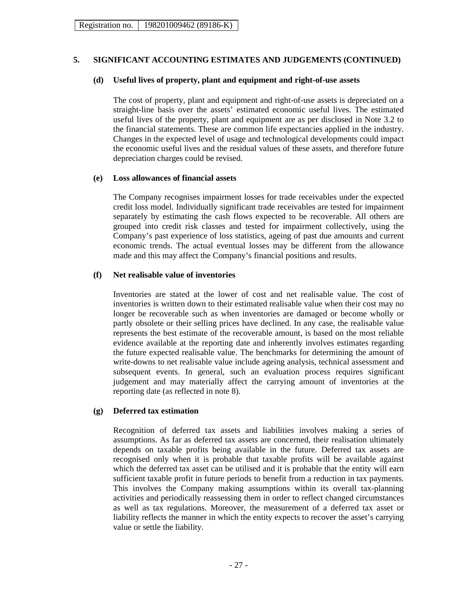# **5. SIGNIFICANT ACCOUNTING ESTIMATES AND JUDGEMENTS (CONTINUED)**

# **(d) Useful lives of property, plant and equipment and right-of-use assets**

The cost of property, plant and equipment and right-of-use assets is depreciated on a straight-line basis over the assets' estimated economic useful lives. The estimated useful lives of the property, plant and equipment are as per disclosed in Note 3.2 to the financial statements. These are common life expectancies applied in the industry. Changes in the expected level of usage and technological developments could impact the economic useful lives and the residual values of these assets, and therefore future depreciation charges could be revised.

## **(e) Loss allowances of financial assets**

The Company recognises impairment losses for trade receivables under the expected credit loss model. Individually significant trade receivables are tested for impairment separately by estimating the cash flows expected to be recoverable. All others are grouped into credit risk classes and tested for impairment collectively, using the Company's past experience of loss statistics, ageing of past due amounts and current economic trends. The actual eventual losses may be different from the allowance made and this may affect the Company's financial positions and results.

# **(f) Net realisable value of inventories**

Inventories are stated at the lower of cost and net realisable value. The cost of inventories is written down to their estimated realisable value when their cost may no longer be recoverable such as when inventories are damaged or become wholly or partly obsolete or their selling prices have declined. In any case, the realisable value represents the best estimate of the recoverable amount, is based on the most reliable evidence available at the reporting date and inherently involves estimates regarding the future expected realisable value. The benchmarks for determining the amount of write-downs to net realisable value include ageing analysis, technical assessment and subsequent events. In general, such an evaluation process requires significant judgement and may materially affect the carrying amount of inventories at the reporting date (as reflected in note 8).

# **(g) Deferred tax estimation**

Recognition of deferred tax assets and liabilities involves making a series of assumptions. As far as deferred tax assets are concerned, their realisation ultimately depends on taxable profits being available in the future. Deferred tax assets are recognised only when it is probable that taxable profits will be available against which the deferred tax asset can be utilised and it is probable that the entity will earn sufficient taxable profit in future periods to benefit from a reduction in tax payments. This involves the Company making assumptions within its overall tax-planning activities and periodically reassessing them in order to reflect changed circumstances as well as tax regulations. Moreover, the measurement of a deferred tax asset or liability reflects the manner in which the entity expects to recover the asset's carrying value or settle the liability.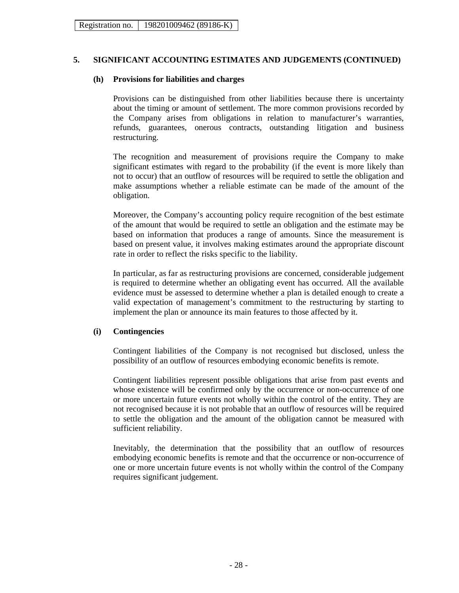# **5. SIGNIFICANT ACCOUNTING ESTIMATES AND JUDGEMENTS (CONTINUED)**

## **(h) Provisions for liabilities and charges**

Provisions can be distinguished from other liabilities because there is uncertainty about the timing or amount of settlement. The more common provisions recorded by the Company arises from obligations in relation to manufacturer's warranties, refunds, guarantees, onerous contracts, outstanding litigation and business restructuring.

The recognition and measurement of provisions require the Company to make significant estimates with regard to the probability (if the event is more likely than not to occur) that an outflow of resources will be required to settle the obligation and make assumptions whether a reliable estimate can be made of the amount of the obligation.

Moreover, the Company's accounting policy require recognition of the best estimate of the amount that would be required to settle an obligation and the estimate may be based on information that produces a range of amounts. Since the measurement is based on present value, it involves making estimates around the appropriate discount rate in order to reflect the risks specific to the liability.

In particular, as far as restructuring provisions are concerned, considerable judgement is required to determine whether an obligating event has occurred. All the available evidence must be assessed to determine whether a plan is detailed enough to create a valid expectation of management's commitment to the restructuring by starting to implement the plan or announce its main features to those affected by it.

## **(i) Contingencies**

Contingent liabilities of the Company is not recognised but disclosed, unless the possibility of an outflow of resources embodying economic benefits is remote.

Contingent liabilities represent possible obligations that arise from past events and whose existence will be confirmed only by the occurrence or non-occurrence of one or more uncertain future events not wholly within the control of the entity. They are not recognised because it is not probable that an outflow of resources will be required to settle the obligation and the amount of the obligation cannot be measured with sufficient reliability.

Inevitably, the determination that the possibility that an outflow of resources embodying economic benefits is remote and that the occurrence or non-occurrence of one or more uncertain future events is not wholly within the control of the Company requires significant judgement.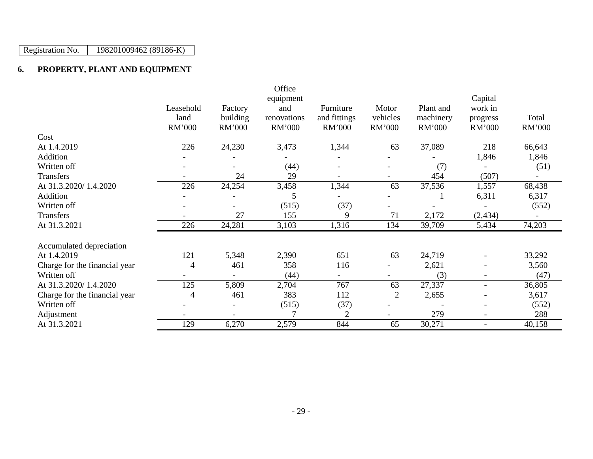#### **6.PROPERTY, PLANT AND EQUIPMENT**

|                                 |                |          | Office      |                |                |           |                          |        |
|---------------------------------|----------------|----------|-------------|----------------|----------------|-----------|--------------------------|--------|
|                                 |                |          | equipment   |                |                |           | Capital                  |        |
|                                 | Leasehold      | Factory  | and         | Furniture      | Motor          | Plant and | work in                  |        |
|                                 | land           | building | renovations | and fittings   | vehicles       | machinery | progress                 | Total  |
|                                 | RM'000         | RM'000   | RM'000      | RM'000         | RM'000         | RM'000    | RM'000                   | RM'000 |
| Cost                            |                |          |             |                |                |           |                          |        |
| At 1.4.2019                     | 226            | 24,230   | 3,473       | 1,344          | 63             | 37,089    | 218                      | 66,643 |
| Addition                        |                |          |             |                |                |           | 1,846                    | 1,846  |
| Written off                     |                |          | (44)        |                |                | (7)       |                          | (51)   |
| Transfers                       |                | 24       | 29          |                |                | 454       | (507)                    |        |
| At 31.3.2020/1.4.2020           | 226            | 24,254   | 3,458       | 1,344          | 63             | 37,536    | 1,557                    | 68,438 |
| Addition                        |                |          | 5           |                |                |           | 6,311                    | 6,317  |
| Written off                     |                |          | (515)       | (37)           |                |           |                          | (552)  |
| Transfers                       |                | 27       | 155         | 9              | 71             | 2,172     | (2, 434)                 |        |
| At 31.3.2021                    | 226            | 24,281   | 3,103       | 1,316          | 134            | 39,709    | 5,434                    | 74,203 |
| <b>Accumulated depreciation</b> |                |          |             |                |                |           |                          |        |
| At 1.4.2019                     | 121            | 5,348    | 2,390       | 651            | 63             | 24,719    |                          | 33,292 |
| Charge for the financial year   | $\overline{4}$ | 461      | 358         | 116            |                | 2,621     |                          | 3,560  |
| Written off                     |                |          | (44)        | $\sim$         |                | (3)       | -                        | (47)   |
| At 31.3.2020/1.4.2020           | 125            | 5,809    | 2,704       | 767            | 63             | 27,337    | $\overline{\phantom{0}}$ | 36,805 |
| Charge for the financial year   | 4              | 461      | 383         | 112            | $\overline{2}$ | 2,655     |                          | 3,617  |
| Written off                     |                |          | (515)       | (37)           |                |           |                          | (552)  |
| Adjustment                      |                |          |             | $\overline{2}$ |                | 279       | -                        | 288    |
| At 31.3.2021                    | 129            | 6,270    | 2,579       | 844            | 65             | 30,271    | -                        | 40,158 |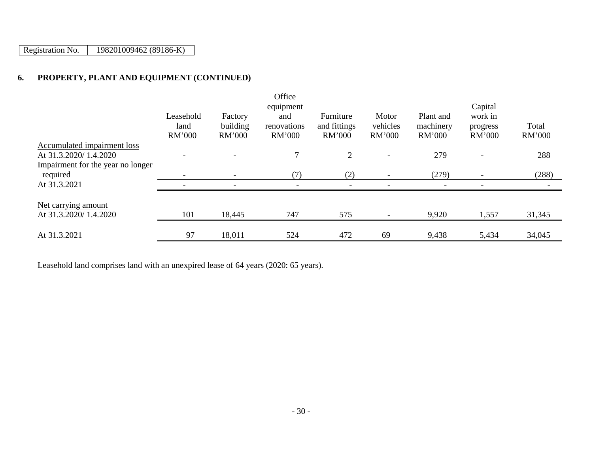#### **6.PROPERTY, PLANT AND EQUIPMENT (CONTINUED)**

|                                                      | Leasehold<br>land<br>RM'000 | Factory<br>building<br><b>RM'000</b> | Office<br>equipment<br>and<br>renovations<br>RM'000 | Furniture<br>and fittings<br><b>RM'000</b> | Motor<br>vehicles<br>RM'000 | Plant and<br>machinery<br><b>RM'000</b> | Capital<br>work in<br>progress<br>RM'000 | Total<br><b>RM'000</b> |
|------------------------------------------------------|-----------------------------|--------------------------------------|-----------------------------------------------------|--------------------------------------------|-----------------------------|-----------------------------------------|------------------------------------------|------------------------|
| Accumulated impairment loss<br>At 31.3.2020/1.4.2020 |                             |                                      |                                                     | $\overline{2}$                             |                             | 279                                     |                                          | 288                    |
| Impairment for the year no longer                    |                             |                                      |                                                     |                                            | $\overline{\phantom{0}}$    |                                         | $\overline{\phantom{0}}$                 |                        |
| required                                             |                             | $\overline{\phantom{a}}$             | (7)                                                 | (2)                                        | $\overline{\phantom{a}}$    | (279)                                   | $\overline{\phantom{a}}$                 | (288)                  |
| At 31.3.2021                                         |                             |                                      | $\overline{\phantom{0}}$                            | $\overline{\phantom{a}}$                   |                             | $\overline{\phantom{0}}$                |                                          |                        |
| Net carrying amount<br>At 31.3.2020/1.4.2020         | 101                         | 18,445                               | 747                                                 | 575                                        | $\overline{\phantom{a}}$    | 9,920                                   | 1,557                                    | 31,345                 |
| At 31.3.2021                                         | 97                          | 18,011                               | 524                                                 | 472                                        | 69                          | 9,438                                   | 5,434                                    | 34,045                 |

Leasehold land comprises land with an unexpired lease of 64 years (2020: 65 years).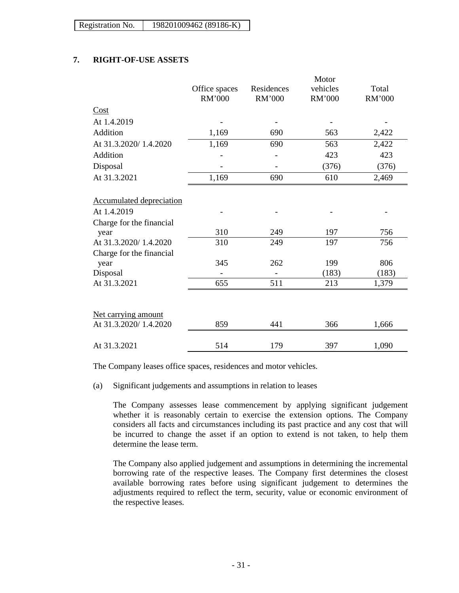# **7. RIGHT-OF-USE ASSETS**

|                                 | Motor         |                          |          |        |
|---------------------------------|---------------|--------------------------|----------|--------|
|                                 | Office spaces | Residences               | vehicles | Total  |
|                                 | RM'000        | RM'000                   | RM'000   | RM'000 |
| Cost                            |               |                          |          |        |
| At 1.4.2019                     |               |                          |          |        |
| Addition                        | 1,169         | 690                      | 563      | 2,422  |
| At 31.3.2020/1.4.2020           | 1,169         | 690                      | 563      | 2,422  |
| Addition                        |               |                          | 423      | 423    |
| Disposal                        |               |                          | (376)    | (376)  |
| At 31.3.2021                    | 1,169         | 690                      | 610      | 2,469  |
| <b>Accumulated depreciation</b> |               |                          |          |        |
| At 1.4.2019                     |               |                          |          |        |
| Charge for the financial        |               |                          |          |        |
| year                            | 310           | 249                      | 197      | 756    |
| At 31.3.2020/1.4.2020           | 310           | 249                      | 197      | 756    |
| Charge for the financial        |               |                          |          |        |
| year                            | 345           | 262                      | 199      | 806    |
| Disposal                        |               | $\overline{\phantom{0}}$ | (183)    | (183)  |
| At 31.3.2021                    | 655           | 511                      | 213      | 1,379  |
|                                 |               |                          |          |        |
| Net carrying amount             |               |                          |          |        |
| At 31.3.2020/1.4.2020           | 859           | 441                      | 366      | 1,666  |
| At 31.3.2021                    | 514           | 179                      | 397      | 1,090  |

The Company leases office spaces, residences and motor vehicles.

## (a) Significant judgements and assumptions in relation to leases

The Company assesses lease commencement by applying significant judgement whether it is reasonably certain to exercise the extension options. The Company considers all facts and circumstances including its past practice and any cost that will be incurred to change the asset if an option to extend is not taken, to help them determine the lease term.

The Company also applied judgement and assumptions in determining the incremental borrowing rate of the respective leases. The Company first determines the closest available borrowing rates before using significant judgement to determines the adjustments required to reflect the term, security, value or economic environment of the respective leases.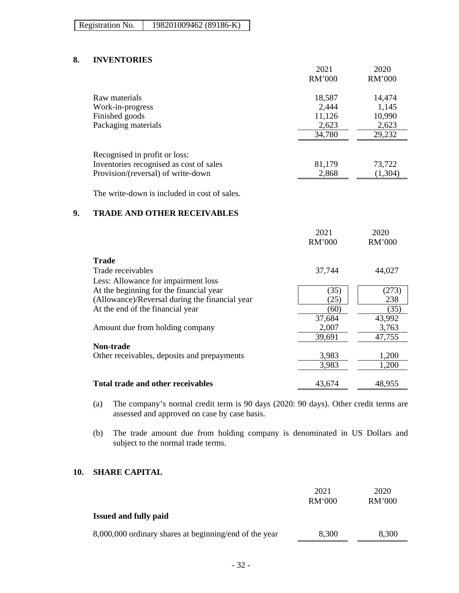# **8. INVENTORIES**

|                                                | 2021<br>RM'000     | 2020<br>RM'000 |
|------------------------------------------------|--------------------|----------------|
| Raw materials                                  | 18,587             | 14,474         |
| Work-in-progress                               | 2,444              | 1,145          |
| Finished goods                                 | 11,126             | 10,990         |
| Packaging materials                            | 2,623              | 2,623          |
|                                                | 34,780             | 29,232         |
| Recognised in profit or loss:                  |                    |                |
| Inventories recognised as cost of sales        | 81,179             | 73,722         |
| Provision/(reversal) of write-down             | 2,868              | (1,304)        |
| The write-down is included in cost of sales.   |                    |                |
| <b>TRADE AND OTHER RECEIVABLES</b>             |                    |                |
|                                                | 2021               | 2020           |
|                                                | RM'000             | <b>RM'000</b>  |
| <b>Trade</b>                                   |                    |                |
| Trade receivables                              | 37,744             | 44,027         |
| Less: Allowance for impairment loss            |                    |                |
| At the beginning for the financial year        | (35)               | (273)          |
| (Allowance)/Reversal during the financial year | (25)               | 238            |
| At the end of the financial year               | (60)               | (35)           |
|                                                | 37,684             | 43,992         |
| Amount due from holding company                | 2,007              | 3,763          |
|                                                | 39,691             | 47,755         |
| <b>Non-trade</b>                               |                    |                |
| Other receivables, deposits and prepayments    | 3,983              | 1,200          |
|                                                | $\overline{3,983}$ | 1,200          |
| <b>Total trade and other receivables</b>       | 43,674             | 48,955         |

- (a) The company's normal credit term is 90 days (2020: 90 days). Other credit terms are assessed and approved on case by case basis.
- (b) The trade amount due from holding company is denominated in US Dollars and subject to the normal trade terms.

# **10. SHARE CAPITAL**

|                                                        | 2021<br>RM <sub>000</sub> | 2020<br>RM'000 |
|--------------------------------------------------------|---------------------------|----------------|
| <b>Issued and fully paid</b>                           |                           |                |
| 8,000,000 ordinary shares at beginning/end of the year | 8,300                     | 8,300          |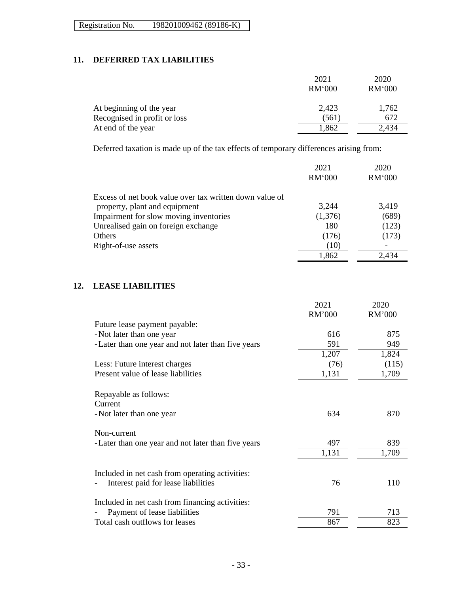# **11. DEFERRED TAX LIABILITIES**

|                              | 2021<br>RM'000 | 2020<br>RM'000 |
|------------------------------|----------------|----------------|
| At beginning of the year     | 2,423          | 1,762          |
| Recognised in profit or loss | (561)          | 672            |
| At end of the year           | 1,862          | 2,434          |

Deferred taxation is made up of the tax effects of temporary differences arising from:

|                                                         | 2021          | 2020          |
|---------------------------------------------------------|---------------|---------------|
|                                                         | <b>RM'000</b> | <b>RM'000</b> |
| Excess of net book value over tax written down value of |               |               |
| property, plant and equipment                           | 3,244         | 3,419         |
| Impairment for slow moving inventories                  | (1,376)       | (689)         |
| Unrealised gain on foreign exchange                     | 180           | (123)         |
| Others                                                  | (176)         | (173)         |
| Right-of-use assets                                     | (10)          |               |
|                                                         | 1,862         | 2,434         |

# **12. LEASE LIABILITIES**

|                                                                                        | 2021         | 2020         |
|----------------------------------------------------------------------------------------|--------------|--------------|
|                                                                                        | RM'000       | RM'000       |
| Future lease payment payable:                                                          |              |              |
| - Not later than one year                                                              | 616          | 875          |
| - Later than one year and not later than five years                                    | 591          | 949          |
|                                                                                        | 1,207        | 1,824        |
| Less: Future interest charges                                                          | (76)         | (115)        |
| Present value of lease liabilities                                                     | 1,131        | 1,709        |
| Repayable as follows:<br>Current                                                       |              |              |
| - Not later than one year                                                              | 634          | 870          |
| Non-current<br>- Later than one year and not later than five years                     | 497<br>1,131 | 839<br>1,709 |
| Included in net cash from operating activities:<br>Interest paid for lease liabilities | 76           | 110          |
| Included in net cash from financing activities:                                        |              |              |
| Payment of lease liabilities                                                           | 791          | 713          |
| Total cash outflows for leases                                                         | 867          | 823          |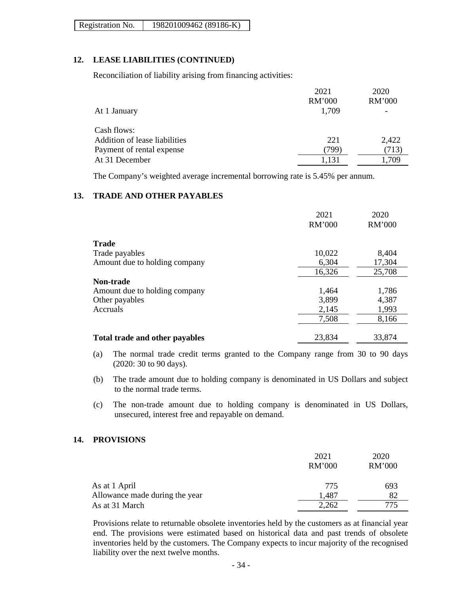## **12. LEASE LIABILITIES (CONTINUED)**

Reconciliation of liability arising from financing activities:

|                               | 2021   | 2020   |
|-------------------------------|--------|--------|
|                               | RM'000 | RM'000 |
| At 1 January                  | 1,709  |        |
| Cash flows:                   |        |        |
| Addition of lease liabilities | 221    | 2,422  |
| Payment of rental expense     | 799)   | (713)  |
| At 31 December                | 1,131  | .709   |

The Company's weighted average incremental borrowing rate is 5.45% per annum.

# **13. TRADE AND OTHER PAYABLES**

|                                | 2021          | 2020   |
|--------------------------------|---------------|--------|
|                                | <b>RM'000</b> | RM'000 |
| <b>Trade</b>                   |               |        |
| Trade payables                 | 10,022        | 8,404  |
| Amount due to holding company  | 6,304         | 17,304 |
|                                | 16,326        | 25,708 |
| Non-trade                      |               |        |
| Amount due to holding company  | 1,464         | 1,786  |
| Other payables                 | 3,899         | 4,387  |
| Accruals                       | 2,145         | 1,993  |
|                                | 7,508         | 8,166  |
| Total trade and other payables | 23,834        | 33,874 |

- (a) The normal trade credit terms granted to the Company range from 30 to 90 days (2020: 30 to 90 days).
- (b) The trade amount due to holding company is denominated in US Dollars and subject to the normal trade terms.
- (c) The non-trade amount due to holding company is denominated in US Dollars, unsecured, interest free and repayable on demand.

#### **14. PROVISIONS**

|                                | 2021<br>RM'000 | 2020<br>RM'000 |
|--------------------------------|----------------|----------------|
| As at 1 April                  | 775            | 693            |
| Allowance made during the year | 1,487          | 82             |
| As at 31 March                 | 2,262          | 775            |

Provisions relate to returnable obsolete inventories held by the customers as at financial year end. The provisions were estimated based on historical data and past trends of obsolete inventories held by the customers. The Company expects to incur majority of the recognised liability over the next twelve months.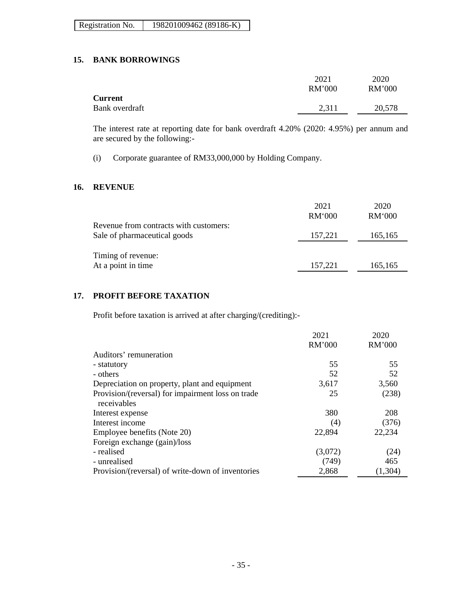# **15. BANK BORROWINGS**

|                | 2021<br>RM'000 | 2020<br>RM'000 |
|----------------|----------------|----------------|
| <b>Current</b> |                |                |
| Bank overdraft | 2,311          | 20,578         |

The interest rate at reporting date for bank overdraft 4.20% (2020: 4.95%) per annum and are secured by the following:-

(i) Corporate guarantee of RM33,000,000 by Holding Company.

# **16. REVENUE**

|                                        | 2021          | 2020          |
|----------------------------------------|---------------|---------------|
|                                        | <b>RM'000</b> | <b>RM'000</b> |
| Revenue from contracts with customers: |               |               |
| Sale of pharmaceutical goods           | 157,221       | 165,165       |
|                                        |               |               |
| Timing of revenue:                     |               |               |
| At a point in time                     | 157,221       | 165,165       |

# **17. PROFIT BEFORE TAXATION**

Profit before taxation is arrived at after charging/(crediting):-

|                                                                  | 2021    | 2020    |
|------------------------------------------------------------------|---------|---------|
|                                                                  | RM'000  | RM'000  |
| Auditors' remuneration                                           |         |         |
| - statutory                                                      | 55      | 55      |
| - others                                                         | 52      | 52      |
| Depreciation on property, plant and equipment                    | 3,617   | 3,560   |
| Provision/(reversal) for impairment loss on trade<br>receivables | 25      | (238)   |
| Interest expense                                                 | 380     | 208     |
| Interest income                                                  | (4)     | (376)   |
| Employee benefits (Note 20)                                      | 22,894  | 22,234  |
| Foreign exchange (gain)/loss                                     |         |         |
| - realised                                                       | (3,072) | (24)    |
| - unrealised                                                     | (749)   | 465     |
| Provision/(reversal) of write-down of inventories                | 2,868   | (1,304) |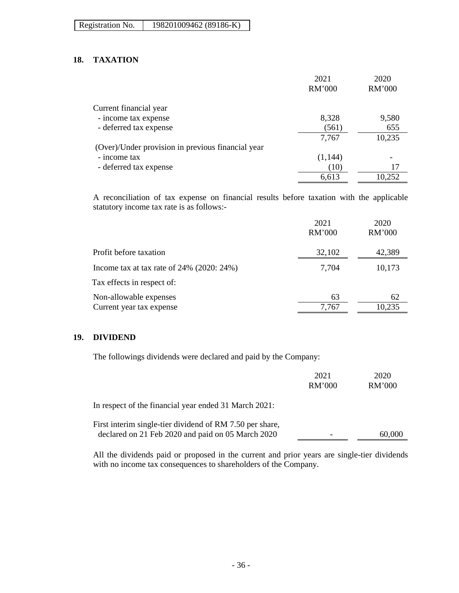# **18. TAXATION**

|                                                   | 2021    | 2020   |
|---------------------------------------------------|---------|--------|
|                                                   | RM'000  | RM'000 |
| Current financial year                            |         |        |
| - income tax expense                              | 8,328   | 9,580  |
| - deferred tax expense                            | (561)   | 655    |
|                                                   | 7,767   | 10,235 |
| (Over)/Under provision in previous financial year |         |        |
| - income tax                                      | (1,144) |        |
| - deferred tax expense                            | (10)    | 17     |
|                                                   | 6,613   | 10,252 |

A reconciliation of tax expense on financial results before taxation with the applicable statutory income tax rate is as follows:-

|                                              | 2021<br>RM'000 | 2020<br>RM'000 |
|----------------------------------------------|----------------|----------------|
| Profit before taxation                       | 32,102         | 42,389         |
| Income tax at tax rate of $24\%$ (2020: 24%) | 7,704          | 10,173         |
| Tax effects in respect of:                   |                |                |
| Non-allowable expenses                       | 63             | 62             |
| Current year tax expense                     | 7,767          | 10,235         |

# **19. DIVIDEND**

The followings dividends were declared and paid by the Company:

|                                                                                                               | 2021<br>RM'000 | 2020<br>RM'000 |
|---------------------------------------------------------------------------------------------------------------|----------------|----------------|
| In respect of the financial year ended 31 March 2021:                                                         |                |                |
| First interim single-tier dividend of RM 7.50 per share,<br>declared on 21 Feb 2020 and paid on 05 March 2020 |                | 60,000         |

All the dividends paid or proposed in the current and prior years are single-tier dividends with no income tax consequences to shareholders of the Company.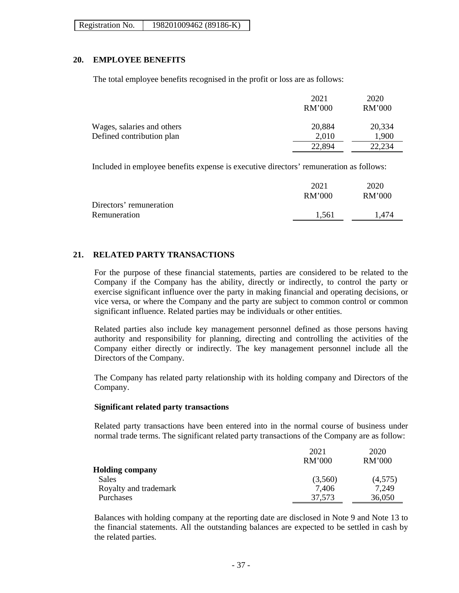## **20. EMPLOYEE BENEFITS**

The total employee benefits recognised in the profit or loss are as follows:

|                            | 2021<br>RM'000 | 2020<br>RM'000 |
|----------------------------|----------------|----------------|
| Wages, salaries and others | 20,884         | 20,334         |
| Defined contribution plan  | 2,010          | 1,900          |
|                            | 22,894         | 22,234         |

Included in employee benefits expense is executive directors' remuneration as follows:

|                         | 2021<br>RM'000 | 2020<br>RM'000 |
|-------------------------|----------------|----------------|
| Directors' remuneration |                |                |
| Remuneration            | 1.561          | .474           |
|                         |                |                |

# **21. RELATED PARTY TRANSACTIONS**

For the purpose of these financial statements, parties are considered to be related to the Company if the Company has the ability, directly or indirectly, to control the party or exercise significant influence over the party in making financial and operating decisions, or vice versa, or where the Company and the party are subject to common control or common significant influence. Related parties may be individuals or other entities.

Related parties also include key management personnel defined as those persons having authority and responsibility for planning, directing and controlling the activities of the Company either directly or indirectly. The key management personnel include all the Directors of the Company.

The Company has related party relationship with its holding company and Directors of the Company.

#### **Significant related party transactions**

Related party transactions have been entered into in the normal course of business under normal trade terms. The significant related party transactions of the Company are as follow:

|                        | 2021<br>RM'000 | 2020<br><b>RM'000</b> |
|------------------------|----------------|-----------------------|
| <b>Holding company</b> |                |                       |
| <b>Sales</b>           | (3,560)        | (4,575)               |
| Royalty and trademark  | 7,406          | 7,249                 |
| Purchases              | 37,573         | 36,050                |

Balances with holding company at the reporting date are disclosed in Note 9 and Note 13 to the financial statements. All the outstanding balances are expected to be settled in cash by the related parties.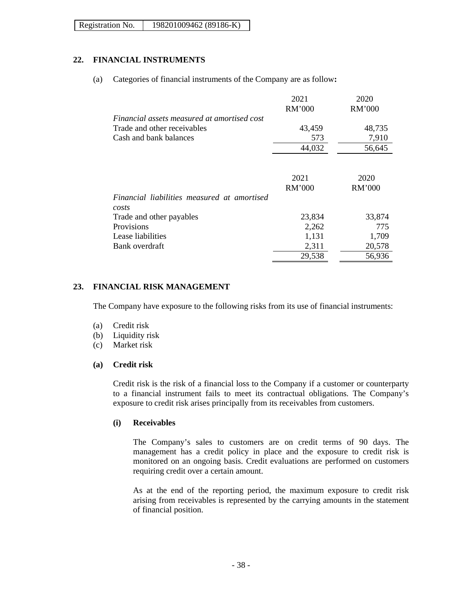# **22. FINANCIAL INSTRUMENTS**

(a) Categories of financial instruments of the Company are as follow**:**

|                                                      | 2021<br>RM'000 | 2020<br>RM'000 |
|------------------------------------------------------|----------------|----------------|
| Financial assets measured at amortised cost          |                |                |
| Trade and other receivables                          | 43,459         | 48,735         |
| Cash and bank balances                               | 573            | 7,910          |
|                                                      | 44,032         | 56,645         |
| Financial liabilities measured at amortised<br>costs | 2021<br>RM'000 | 2020<br>RM'000 |
| Trade and other payables                             | 23,834         | 33,874         |
| Provisions                                           | 2,262          | 775            |
| Lease liabilities                                    | 1,131          | 1,709          |
| Bank overdraft                                       | 2,311          | 20,578         |
|                                                      | 29,538         | 56,936         |

# **23. FINANCIAL RISK MANAGEMENT**

The Company have exposure to the following risks from its use of financial instruments:

- (a) Credit risk
- (b) Liquidity risk
- (c) Market risk

## **(a) Credit risk**

Credit risk is the risk of a financial loss to the Company if a customer or counterparty to a financial instrument fails to meet its contractual obligations. The Company's exposure to credit risk arises principally from its receivables from customers.

## **(i) Receivables**

The Company's sales to customers are on credit terms of 90 days. The management has a credit policy in place and the exposure to credit risk is monitored on an ongoing basis. Credit evaluations are performed on customers requiring credit over a certain amount.

As at the end of the reporting period, the maximum exposure to credit risk arising from receivables is represented by the carrying amounts in the statement of financial position.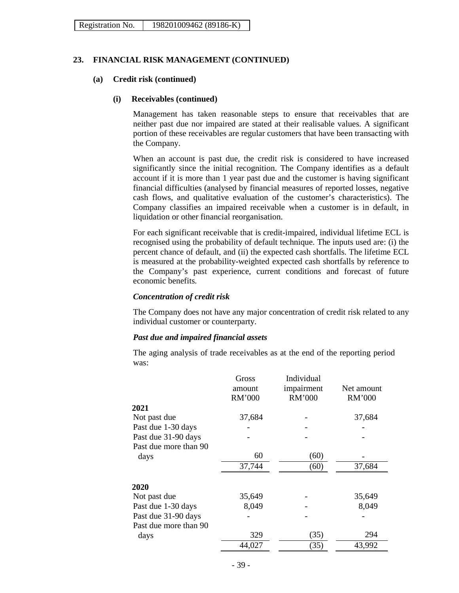#### **23. FINANCIAL RISK MANAGEMENT (CONTINUED)**

#### **(a) Credit risk (continued)**

#### **(i) Receivables (continued)**

Management has taken reasonable steps to ensure that receivables that are neither past due nor impaired are stated at their realisable values. A significant portion of these receivables are regular customers that have been transacting with the Company.

When an account is past due, the credit risk is considered to have increased significantly since the initial recognition. The Company identifies as a default account if it is more than 1 year past due and the customer is having significant financial difficulties (analysed by financial measures of reported losses, negative cash flows, and qualitative evaluation of the customer's characteristics). The Company classifies an impaired receivable when a customer is in default, in liquidation or other financial reorganisation.

For each significant receivable that is credit-impaired, individual lifetime ECL is recognised using the probability of default technique. The inputs used are: (i) the percent chance of default, and (ii) the expected cash shortfalls. The lifetime ECL is measured at the probability-weighted expected cash shortfalls by reference to the Company's past experience, current conditions and forecast of future economic benefits.

#### *Concentration of credit risk*

The Company does not have any major concentration of credit risk related to any individual customer or counterparty.

### *Past due and impaired financial assets*

The aging analysis of trade receivables as at the end of the reporting period was:

|                       | Gross  | Individual |            |
|-----------------------|--------|------------|------------|
|                       | amount | impairment | Net amount |
|                       | RM'000 | RM'000     | RM'000     |
| <b>2021</b>           |        |            |            |
| Not past due          | 37,684 |            | 37,684     |
| Past due 1-30 days    |        |            |            |
| Past due 31-90 days   |        |            |            |
| Past due more than 90 |        |            |            |
| days                  | 60     | (60)       |            |
|                       | 37,744 | (60)       | 37,684     |
| <b>2020</b>           |        |            |            |
| Not past due          | 35,649 |            | 35,649     |
| Past due 1-30 days    | 8,049  |            | 8,049      |
| Past due 31-90 days   |        |            |            |
| Past due more than 90 |        |            |            |
| days                  | 329    | (35)       | 294        |
|                       | 44,027 | (35)       | 43,992     |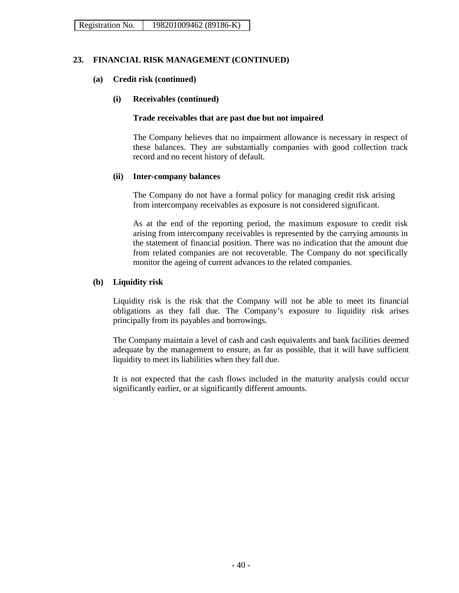## **23. FINANCIAL RISK MANAGEMENT (CONTINUED)**

## **(a) Credit risk (continued)**

## **(i) Receivables (continued)**

## **Trade receivables that are past due but not impaired**

The Company believes that no impairment allowance is necessary in respect of these balances. They are substantially companies with good collection track record and no recent history of default.

# **(ii) Inter-company balances**

The Company do not have a formal policy for managing credit risk arising from intercompany receivables as exposure is not considered significant.

As at the end of the reporting period, the maximum exposure to credit risk arising from intercompany receivables is represented by the carrying amounts in the statement of financial position. There was no indication that the amount due from related companies are not recoverable. The Company do not specifically monitor the ageing of current advances to the related companies.

# **(b) Liquidity risk**

Liquidity risk is the risk that the Company will not be able to meet its financial obligations as they fall due. The Company's exposure to liquidity risk arises principally from its payables and borrowings.

The Company maintain a level of cash and cash equivalents and bank facilities deemed adequate by the management to ensure, as far as possible, that it will have sufficient liquidity to meet its liabilities when they fall due.

It is not expected that the cash flows included in the maturity analysis could occur significantly earlier, or at significantly different amounts.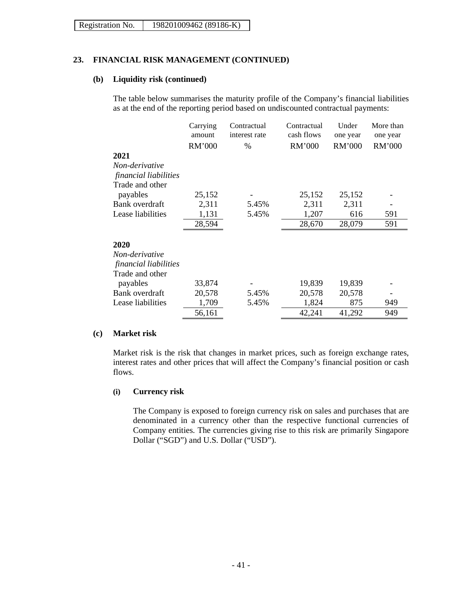## **23. FINANCIAL RISK MANAGEMENT (CONTINUED)**

### **(b) Liquidity risk (continued)**

The table below summarises the maturity profile of the Company's financial liabilities as at the end of the reporting period based on undiscounted contractual payments:

|                       | Carrying<br>amount | Contractual<br>interest rate | Contractual<br>cash flows | Under<br>one year | More than<br>one year |
|-----------------------|--------------------|------------------------------|---------------------------|-------------------|-----------------------|
|                       | RM'000             | %                            | RM'000                    | RM'000            | <b>RM'000</b>         |
| 2021                  |                    |                              |                           |                   |                       |
| Non-derivative        |                    |                              |                           |                   |                       |
| financial liabilities |                    |                              |                           |                   |                       |
| Trade and other       |                    |                              |                           |                   |                       |
| payables              | 25,152             |                              | 25,152                    | 25,152            |                       |
| Bank overdraft        | 2,311              | 5.45%                        | 2,311                     | 2,311             |                       |
| Lease liabilities     | 1,131              | 5.45%                        | 1,207                     | 616               | 591                   |
|                       | 28,594             |                              | 28,670                    | 28,079            | 591                   |
|                       |                    |                              |                           |                   |                       |
| 2020                  |                    |                              |                           |                   |                       |
| Non-derivative        |                    |                              |                           |                   |                       |
| financial liabilities |                    |                              |                           |                   |                       |
| Trade and other       |                    |                              |                           |                   |                       |
| payables              | 33,874             |                              | 19,839                    | 19,839            |                       |
| Bank overdraft        | 20,578             | 5.45%                        | 20,578                    | 20,578            |                       |
| Lease liabilities     | 1,709              | 5.45%                        | 1,824                     | 875               | 949                   |
|                       | 56,161             |                              | 42,241                    | 41,292            | 949                   |

## **(c) Market risk**

Market risk is the risk that changes in market prices, such as foreign exchange rates, interest rates and other prices that will affect the Company's financial position or cash flows.

## **(i) Currency risk**

The Company is exposed to foreign currency risk on sales and purchases that are denominated in a currency other than the respective functional currencies of Company entities. The currencies giving rise to this risk are primarily Singapore Dollar ("SGD") and U.S. Dollar ("USD").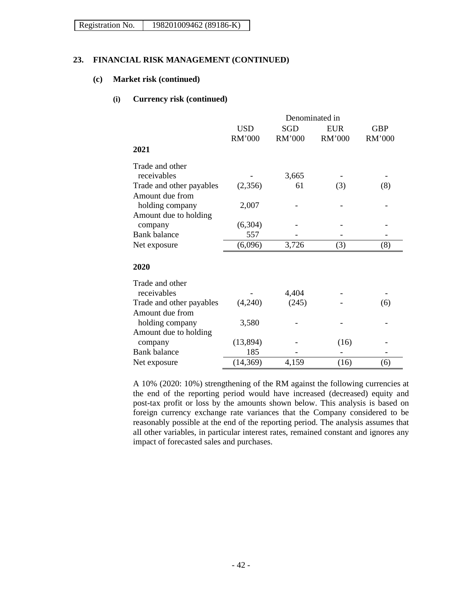## **23. FINANCIAL RISK MANAGEMENT (CONTINUED)**

#### **(c) Market risk (continued)**

## **(i) Currency risk (continued)**

|                          | Denominated in |            |            |            |
|--------------------------|----------------|------------|------------|------------|
|                          | <b>USD</b>     | <b>SGD</b> | <b>EUR</b> | <b>GBP</b> |
|                          | RM'000         | RM'000     | RM'000     | RM'000     |
| 2021                     |                |            |            |            |
| Trade and other          |                |            |            |            |
| receivables              |                | 3,665      |            |            |
| Trade and other payables | (2,356)        | 61         | (3)        | (8)        |
| Amount due from          |                |            |            |            |
| holding company          | 2,007          |            |            |            |
| Amount due to holding    |                |            |            |            |
| company                  | (6,304)        |            |            |            |
| <b>Bank</b> balance      | 557            |            |            |            |
| Net exposure             | (6,096)        | 3,726      | (3)        | (8)        |
|                          |                |            |            |            |
| 2020                     |                |            |            |            |
| Trade and other          |                |            |            |            |
| receivables              |                | 4,404      |            |            |
| Trade and other payables | (4,240)        | (245)      |            | (6)        |
| Amount due from          |                |            |            |            |
| holding company          | 3,580          |            |            |            |
| Amount due to holding    |                |            |            |            |
| company                  | (13,894)       |            | (16)       |            |
| <b>Bank</b> balance      | 185            |            |            |            |
| Net exposure             | (14, 369)      | 4,159      | (16)       | (6)        |

A 10% (2020: 10%) strengthening of the RM against the following currencies at the end of the reporting period would have increased (decreased) equity and post-tax profit or loss by the amounts shown below. This analysis is based on foreign currency exchange rate variances that the Company considered to be reasonably possible at the end of the reporting period. The analysis assumes that all other variables, in particular interest rates, remained constant and ignores any impact of forecasted sales and purchases.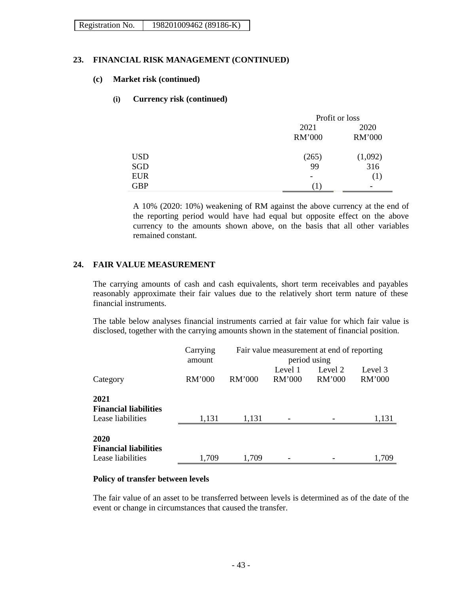### **23. FINANCIAL RISK MANAGEMENT (CONTINUED)**

#### **(c) Market risk (continued)**

#### **(i) Currency risk (continued)**

|            | Profit or loss |         |
|------------|----------------|---------|
|            | 2021           | 2020    |
|            | RM'000         | RM'000  |
| <b>USD</b> | (265)          | (1,092) |
| SGD        | 99             | 316     |
| <b>EUR</b> |                | (1)     |
| GBP        |                | -       |

A 10% (2020: 10%) weakening of RM against the above currency at the end of the reporting period would have had equal but opposite effect on the above currency to the amounts shown above, on the basis that all other variables remained constant.

## **24. FAIR VALUE MEASUREMENT**

The carrying amounts of cash and cash equivalents, short term receivables and payables reasonably approximate their fair values due to the relatively short term nature of these financial instruments.

The table below analyses financial instruments carried at fair value for which fair value is disclosed, together with the carrying amounts shown in the statement of financial position.

|                              | Carrying | Fair value measurement at end of reporting |         |              |         |
|------------------------------|----------|--------------------------------------------|---------|--------------|---------|
|                              | amount   |                                            |         | period using |         |
|                              |          |                                            | Level 1 | Level 2      | Level 3 |
| Category                     | RM'000   | RM'000                                     | RM'000  | RM'000       | RM'000  |
| 2021                         |          |                                            |         |              |         |
| <b>Financial liabilities</b> |          |                                            |         |              |         |
| Lease liabilities            | 1,131    | 1,131                                      |         |              | 1,131   |
| 2020                         |          |                                            |         |              |         |
| <b>Financial liabilities</b> |          |                                            |         |              |         |
| Lease liabilities            | 1,709    | 1,709                                      |         |              | 1,709   |

## **Policy of transfer between levels**

The fair value of an asset to be transferred between levels is determined as of the date of the event or change in circumstances that caused the transfer.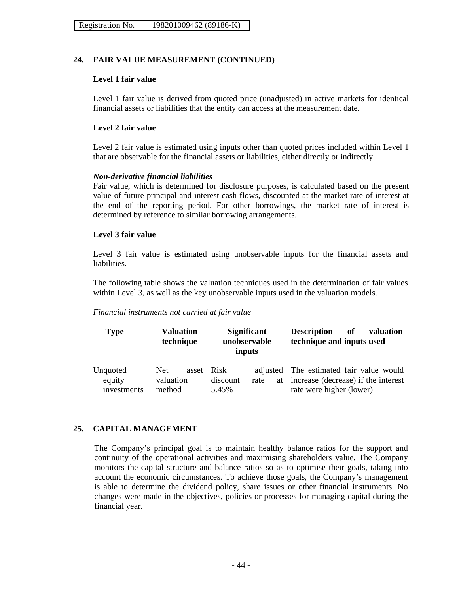# **24. FAIR VALUE MEASUREMENT (CONTINUED)**

## **Level 1 fair value**

Level 1 fair value is derived from quoted price (unadjusted) in active markets for identical financial assets or liabilities that the entity can access at the measurement date.

## **Level 2 fair value**

Level 2 fair value is estimated using inputs other than quoted prices included within Level 1 that are observable for the financial assets or liabilities, either directly or indirectly.

### *Non-derivative financial liabilities*

Fair value, which is determined for disclosure purposes, is calculated based on the present value of future principal and interest cash flows, discounted at the market rate of interest at the end of the reporting period. For other borrowings, the market rate of interest is determined by reference to similar borrowing arrangements.

## **Level 3 fair value**

Level 3 fair value is estimated using unobservable inputs for the financial assets and liabilities.

The following table shows the valuation techniques used in the determination of fair values within Level 3, as well as the key unobservable inputs used in the valuation models.

#### *Financial instruments not carried at fair value*

| <b>Type</b>                       | <b>Valuation</b><br>technique |            | <b>Significant</b><br>unobservable<br>inputs |      | <b>Description</b><br>technique and inputs used | 0ľ                                                                                                         | valuation |  |
|-----------------------------------|-------------------------------|------------|----------------------------------------------|------|-------------------------------------------------|------------------------------------------------------------------------------------------------------------|-----------|--|
| Unquoted<br>equity<br>investments | Net.<br>valuation<br>method   | asset Risk | discount<br>5.45%                            | rate | at                                              | adjusted The estimated fair value would<br>increase (decrease) if the interest<br>rate were higher (lower) |           |  |

# **25. CAPITAL MANAGEMENT**

The Company's principal goal is to maintain healthy balance ratios for the support and continuity of the operational activities and maximising shareholders value. The Company monitors the capital structure and balance ratios so as to optimise their goals, taking into account the economic circumstances. To achieve those goals, the Company's management is able to determine the dividend policy, share issues or other financial instruments. No changes were made in the objectives, policies or processes for managing capital during the financial year.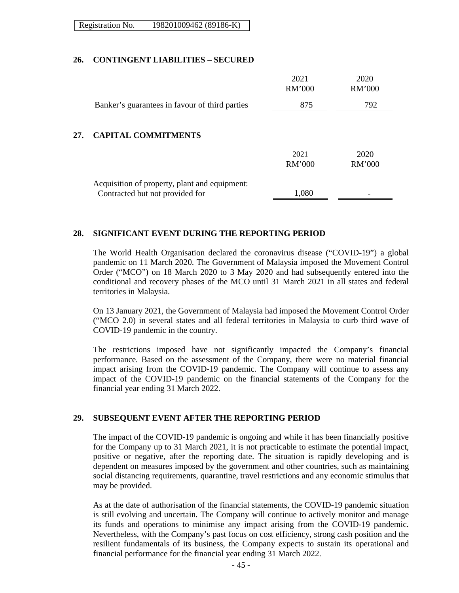### **26. CONTINGENT LIABILITIES – SECURED**

|     |                                                                                  | 2021<br>RM'000 | 2020<br><b>RM'000</b> |
|-----|----------------------------------------------------------------------------------|----------------|-----------------------|
|     | Banker's guarantees in favour of third parties                                   | 875            | 792                   |
| 27. | <b>CAPITAL COMMITMENTS</b>                                                       |                |                       |
|     |                                                                                  | 2021<br>RM'000 | 2020<br>RM'000        |
|     | Acquisition of property, plant and equipment:<br>Contracted but not provided for | 1,080          |                       |

### **28. SIGNIFICANT EVENT DURING THE REPORTING PERIOD**

The World Health Organisation declared the coronavirus disease ("COVID-19") a global pandemic on 11 March 2020. The Government of Malaysia imposed the Movement Control Order ("MCO") on 18 March 2020 to 3 May 2020 and had subsequently entered into the conditional and recovery phases of the MCO until 31 March 2021 in all states and federal territories in Malaysia.

On 13 January 2021, the Government of Malaysia had imposed the Movement Control Order ("MCO 2.0) in several states and all federal territories in Malaysia to curb third wave of COVID-19 pandemic in the country.

The restrictions imposed have not significantly impacted the Company's financial performance. Based on the assessment of the Company, there were no material financial impact arising from the COVID-19 pandemic. The Company will continue to assess any impact of the COVID-19 pandemic on the financial statements of the Company for the financial year ending 31 March 2022.

## **29. SUBSEQUENT EVENT AFTER THE REPORTING PERIOD**

The impact of the COVID-19 pandemic is ongoing and while it has been financially positive for the Company up to 31 March 2021, it is not practicable to estimate the potential impact, positive or negative, after the reporting date. The situation is rapidly developing and is dependent on measures imposed by the government and other countries, such as maintaining social distancing requirements, quarantine, travel restrictions and any economic stimulus that may be provided.

As at the date of authorisation of the financial statements, the COVID-19 pandemic situation is still evolving and uncertain. The Company will continue to actively monitor and manage its funds and operations to minimise any impact arising from the COVID-19 pandemic. Nevertheless, with the Company's past focus on cost efficiency, strong cash position and the resilient fundamentals of its business, the Company expects to sustain its operational and financial performance for the financial year ending 31 March 2022.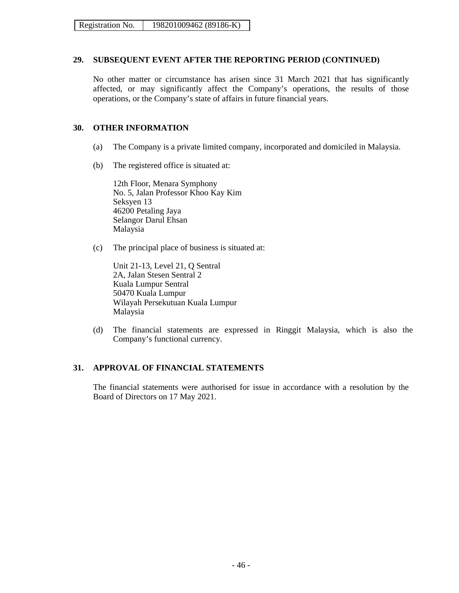# **29. SUBSEQUENT EVENT AFTER THE REPORTING PERIOD (CONTINUED)**

No other matter or circumstance has arisen since 31 March 2021 that has significantly affected, or may significantly affect the Company's operations, the results of those operations, or the Company's state of affairs in future financial years.

# **30. OTHER INFORMATION**

- (a) The Company is a private limited company, incorporated and domiciled in Malaysia.
- (b) The registered office is situated at:

12th Floor, Menara Symphony No. 5, Jalan Professor Khoo Kay Kim Seksyen 13 46200 Petaling Jaya Selangor Darul Ehsan Malaysia

(c) The principal place of business is situated at:

Unit 21-13, Level 21, Q Sentral 2A, Jalan Stesen Sentral 2 Kuala Lumpur Sentral 50470 Kuala Lumpur Wilayah Persekutuan Kuala Lumpur Malaysia

(d) The financial statements are expressed in Ringgit Malaysia, which is also the Company's functional currency.

# **31. APPROVAL OF FINANCIAL STATEMENTS**

The financial statements were authorised for issue in accordance with a resolution by the Board of Directors on 17 May 2021.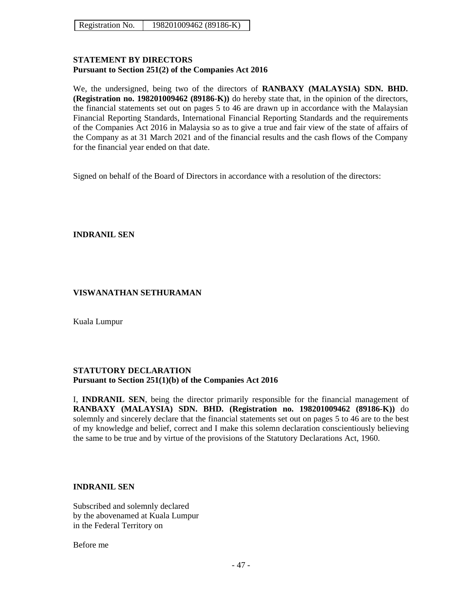## **STATEMENT BY DIRECTORS Pursuant to Section 251(2) of the Companies Act 2016**

We, the undersigned, being two of the directors of **RANBAXY (MALAYSIA) SDN. BHD. (Registration no. 198201009462 (89186-K))** do hereby state that, in the opinion of the directors, the financial statements set out on pages 5 to 46 are drawn up in accordance with the Malaysian Financial Reporting Standards, International Financial Reporting Standards and the requirements of the Companies Act 2016 in Malaysia so as to give a true and fair view of the state of affairs of the Company as at 31 March 2021 and of the financial results and the cash flows of the Company for the financial year ended on that date.

Signed on behalf of the Board of Directors in accordance with a resolution of the directors:

**INDRANIL SEN** 

# **VISWANATHAN SETHURAMAN**

Kuala Lumpur

# **STATUTORY DECLARATION Pursuant to Section 251(1)(b) of the Companies Act 2016**

I, **INDRANIL SEN**, being the director primarily responsible for the financial management of **RANBAXY (MALAYSIA) SDN. BHD. (Registration no. 198201009462 (89186-K))** do solemnly and sincerely declare that the financial statements set out on pages 5 to 46 are to the best of my knowledge and belief, correct and I make this solemn declaration conscientiously believing the same to be true and by virtue of the provisions of the Statutory Declarations Act, 1960.

# **INDRANIL SEN**

Subscribed and solemnly declared by the abovenamed at Kuala Lumpur in the Federal Territory on

Before me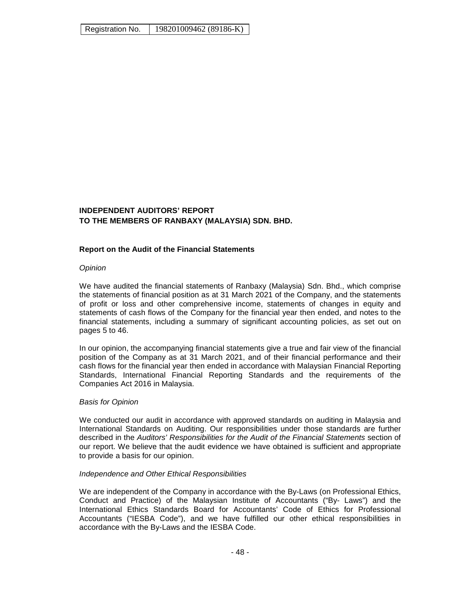## **INDEPENDENT AUDITORS' REPORT TO THE MEMBERS OF RANBAXY (MALAYSIA) SDN. BHD.**

### **Report on the Audit of the Financial Statements**

#### **Opinion**

We have audited the financial statements of Ranbaxy (Malaysia) Sdn. Bhd., which comprise the statements of financial position as at 31 March 2021 of the Company, and the statements of profit or loss and other comprehensive income, statements of changes in equity and statements of cash flows of the Company for the financial year then ended, and notes to the financial statements, including a summary of significant accounting policies, as set out on pages 5 to 46.

In our opinion, the accompanying financial statements give a true and fair view of the financial position of the Company as at 31 March 2021, and of their financial performance and their cash flows for the financial year then ended in accordance with Malaysian Financial Reporting Standards, International Financial Reporting Standards and the requirements of the Companies Act 2016 in Malaysia.

#### Basis for Opinion

We conducted our audit in accordance with approved standards on auditing in Malaysia and International Standards on Auditing. Our responsibilities under those standards are further described in the Auditors' Responsibilities for the Audit of the Financial Statements section of our report. We believe that the audit evidence we have obtained is sufficient and appropriate to provide a basis for our opinion.

#### Independence and Other Ethical Responsibilities

We are independent of the Company in accordance with the By-Laws (on Professional Ethics, Conduct and Practice) of the Malaysian Institute of Accountants ("By- Laws") and the International Ethics Standards Board for Accountants' Code of Ethics for Professional Accountants ("IESBA Code"), and we have fulfilled our other ethical responsibilities in accordance with the By-Laws and the IESBA Code.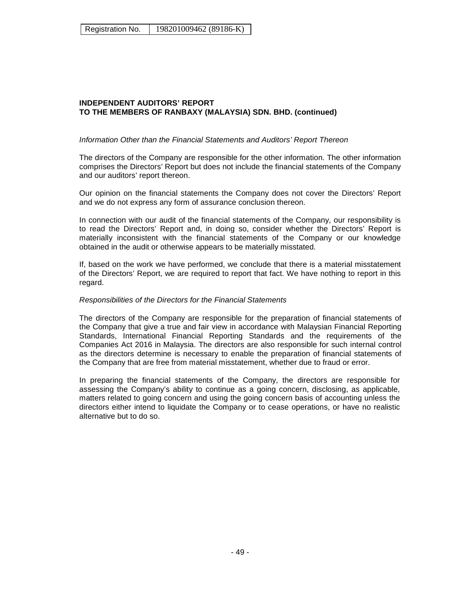# **INDEPENDENT AUDITORS' REPORT TO THE MEMBERS OF RANBAXY (MALAYSIA) SDN. BHD. (continued)**

#### Information Other than the Financial Statements and Auditors' Report Thereon

The directors of the Company are responsible for the other information. The other information comprises the Directors' Report but does not include the financial statements of the Company and our auditors' report thereon.

Our opinion on the financial statements the Company does not cover the Directors' Report and we do not express any form of assurance conclusion thereon.

In connection with our audit of the financial statements of the Company, our responsibility is to read the Directors' Report and, in doing so, consider whether the Directors' Report is materially inconsistent with the financial statements of the Company or our knowledge obtained in the audit or otherwise appears to be materially misstated.

If, based on the work we have performed, we conclude that there is a material misstatement of the Directors' Report, we are required to report that fact. We have nothing to report in this regard.

#### Responsibilities of the Directors for the Financial Statements

The directors of the Company are responsible for the preparation of financial statements of the Company that give a true and fair view in accordance with Malaysian Financial Reporting Standards, International Financial Reporting Standards and the requirements of the Companies Act 2016 in Malaysia. The directors are also responsible for such internal control as the directors determine is necessary to enable the preparation of financial statements of the Company that are free from material misstatement, whether due to fraud or error.

In preparing the financial statements of the Company, the directors are responsible for assessing the Company's ability to continue as a going concern, disclosing, as applicable, matters related to going concern and using the going concern basis of accounting unless the directors either intend to liquidate the Company or to cease operations, or have no realistic alternative but to do so.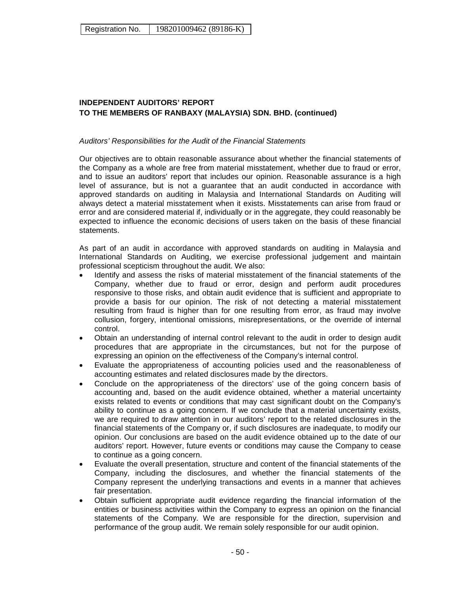# **INDEPENDENT AUDITORS' REPORT TO THE MEMBERS OF RANBAXY (MALAYSIA) SDN. BHD. (continued)**

## Auditors' Responsibilities for the Audit of the Financial Statements

Our objectives are to obtain reasonable assurance about whether the financial statements of the Company as a whole are free from material misstatement, whether due to fraud or error, and to issue an auditors' report that includes our opinion. Reasonable assurance is a high level of assurance, but is not a guarantee that an audit conducted in accordance with approved standards on auditing in Malaysia and International Standards on Auditing will always detect a material misstatement when it exists. Misstatements can arise from fraud or error and are considered material if, individually or in the aggregate, they could reasonably be expected to influence the economic decisions of users taken on the basis of these financial statements.

As part of an audit in accordance with approved standards on auditing in Malaysia and International Standards on Auditing, we exercise professional judgement and maintain professional scepticism throughout the audit. We also:

- Identify and assess the risks of material misstatement of the financial statements of the Company, whether due to fraud or error, design and perform audit procedures responsive to those risks, and obtain audit evidence that is sufficient and appropriate to provide a basis for our opinion. The risk of not detecting a material misstatement resulting from fraud is higher than for one resulting from error, as fraud may involve collusion, forgery, intentional omissions, misrepresentations, or the override of internal control.
- Obtain an understanding of internal control relevant to the audit in order to design audit procedures that are appropriate in the circumstances, but not for the purpose of expressing an opinion on the effectiveness of the Company's internal control.
- Evaluate the appropriateness of accounting policies used and the reasonableness of accounting estimates and related disclosures made by the directors.
- Conclude on the appropriateness of the directors' use of the going concern basis of accounting and, based on the audit evidence obtained, whether a material uncertainty exists related to events or conditions that may cast significant doubt on the Company's ability to continue as a going concern. If we conclude that a material uncertainty exists, we are required to draw attention in our auditors' report to the related disclosures in the financial statements of the Company or, if such disclosures are inadequate, to modify our opinion. Our conclusions are based on the audit evidence obtained up to the date of our auditors' report. However, future events or conditions may cause the Company to cease to continue as a going concern.
- Evaluate the overall presentation, structure and content of the financial statements of the Company, including the disclosures, and whether the financial statements of the Company represent the underlying transactions and events in a manner that achieves fair presentation.
- Obtain sufficient appropriate audit evidence regarding the financial information of the entities or business activities within the Company to express an opinion on the financial statements of the Company. We are responsible for the direction, supervision and performance of the group audit. We remain solely responsible for our audit opinion.